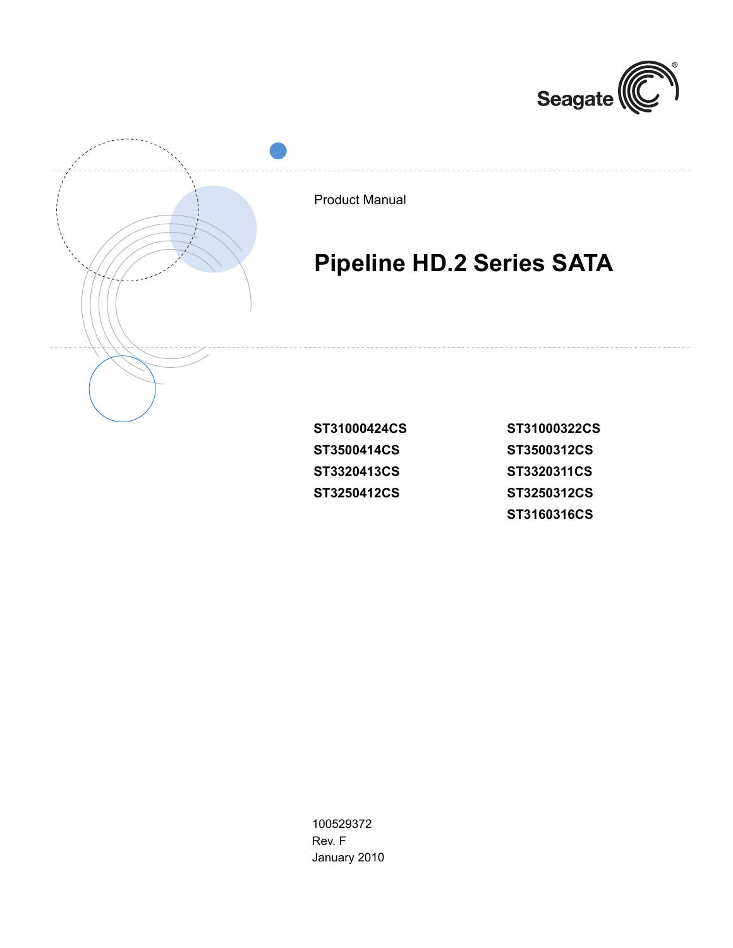



Product Manual

# **Pipeline HD.2 Series SATA**

| ST31000424CS | ST31000322CS |
|--------------|--------------|
| ST3500414CS  | ST3500312CS  |
| ST3320413CS  | ST3320311CS  |
| ST3250412CS  | ST3250312CS  |
|              | ST3160316CS  |

100529372 Rev. F January 2010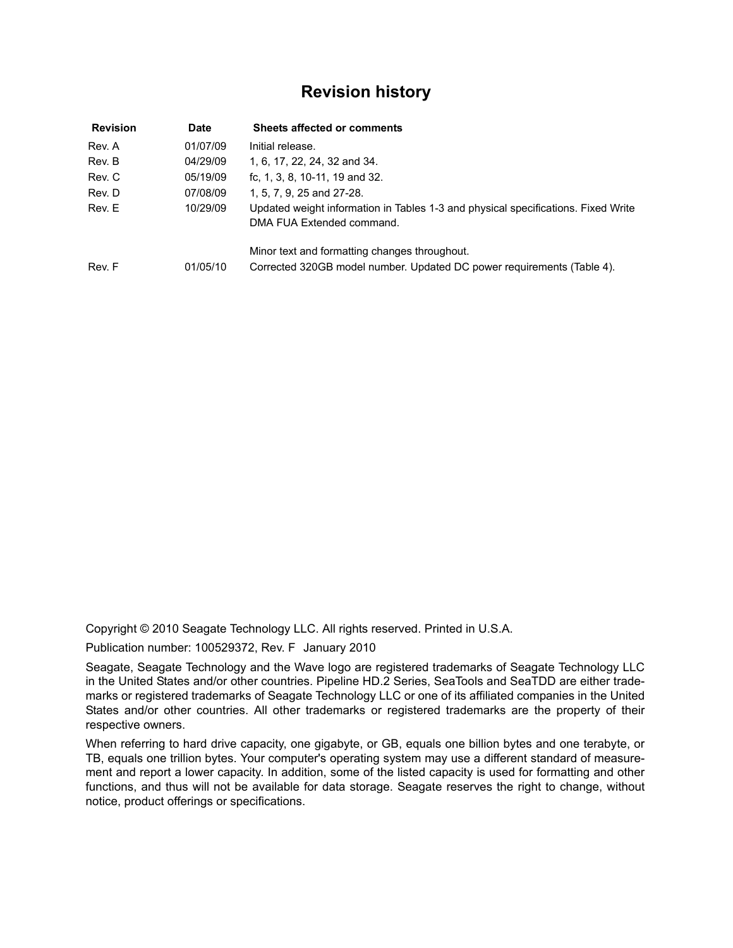## <span id="page-1-0"></span>**Revision history**

| <b>Revision</b> | <b>Date</b> | <b>Sheets affected or comments</b>                                                                                      |
|-----------------|-------------|-------------------------------------------------------------------------------------------------------------------------|
| Rev. A          | 01/07/09    | Initial release.                                                                                                        |
| Rev. B          | 04/29/09    | 1, 6, 17, 22, 24, 32 and 34.                                                                                            |
| Rev. C          | 05/19/09    | fc, 1, 3, 8, 10-11, 19 and 32.                                                                                          |
| Rev. D          | 07/08/09    | 1, 5, 7, 9, 25 and 27-28.                                                                                               |
| Rev. E          | 10/29/09    | Updated weight information in Tables 1-3 and physical specifications. Fixed Write<br>DMA FUA Extended command.          |
| Rev. F          | 01/05/10    | Minor text and formatting changes throughout.<br>Corrected 320GB model number. Updated DC power requirements (Table 4). |

Copyright © 2010 Seagate Technology LLC. All rights reserved. Printed in U.S.A.

Publication number: 100529372, Rev. F January 2010

Seagate, Seagate Technology and the Wave logo are registered trademarks of Seagate Technology LLC in the United States and/or other countries. Pipeline HD.2 Series, SeaTools and SeaTDD are either trademarks or registered trademarks of Seagate Technology LLC or one of its affiliated companies in the United States and/or other countries. All other trademarks or registered trademarks are the property of their respective owners.

When referring to hard drive capacity, one gigabyte, or GB, equals one billion bytes and one terabyte, or TB, equals one trillion bytes. Your computer's operating system may use a different standard of measurement and report a lower capacity. In addition, some of the listed capacity is used for formatting and other functions, and thus will not be available for data storage. Seagate reserves the right to change, without notice, product offerings or specifications.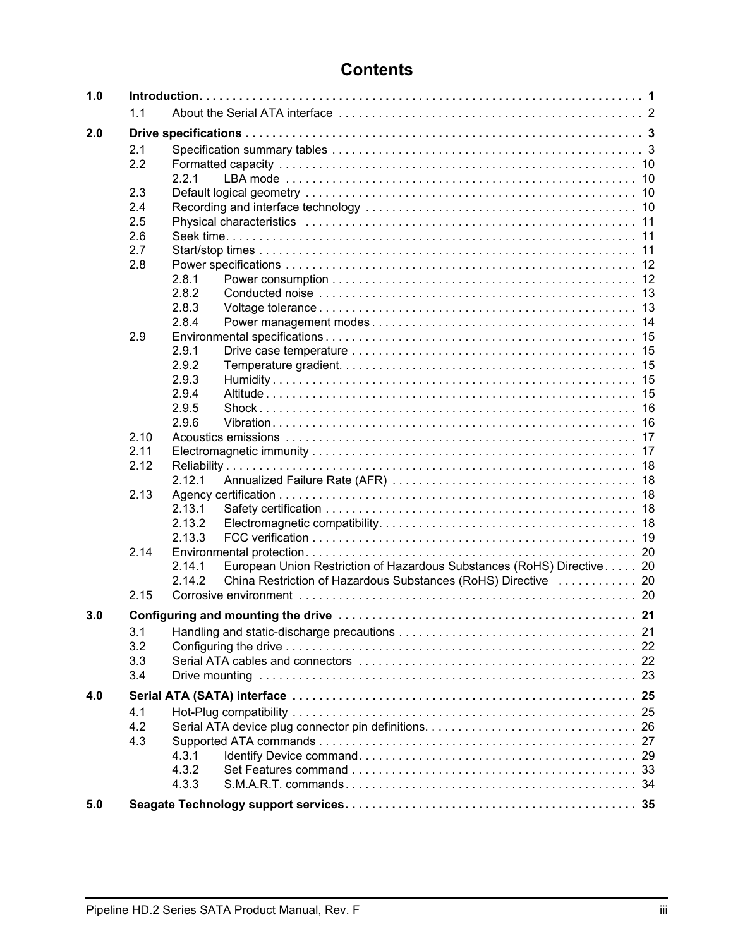## **Contents**

| 1.0 |      |                                                                                  |  |
|-----|------|----------------------------------------------------------------------------------|--|
|     | 1.1  |                                                                                  |  |
| 2.0 |      |                                                                                  |  |
|     | 2.1  |                                                                                  |  |
|     | 2.2  |                                                                                  |  |
|     |      | 2.2.1                                                                            |  |
|     | 2.3  |                                                                                  |  |
|     | 2.4  |                                                                                  |  |
|     | 2.5  |                                                                                  |  |
|     | 2.6  |                                                                                  |  |
|     | 2.7  |                                                                                  |  |
|     | 2.8  |                                                                                  |  |
|     |      | 2.8.1                                                                            |  |
|     |      | 2.8.2                                                                            |  |
|     |      | 2.8.3                                                                            |  |
|     |      | 2.8.4                                                                            |  |
|     | 2.9  |                                                                                  |  |
|     |      | 2.9.1                                                                            |  |
|     |      | 2.9.2                                                                            |  |
|     |      | 2.9.3                                                                            |  |
|     |      | 2.9.4                                                                            |  |
|     |      | 2.9.5                                                                            |  |
|     |      | 2.9.6                                                                            |  |
|     | 2.10 |                                                                                  |  |
|     | 2.11 |                                                                                  |  |
|     | 2.12 |                                                                                  |  |
|     |      | 2.12.1                                                                           |  |
|     | 2.13 |                                                                                  |  |
|     |      | 2.13.1                                                                           |  |
|     |      | 2.13.2                                                                           |  |
|     |      | 2.13.3                                                                           |  |
|     | 2.14 |                                                                                  |  |
|     |      | European Union Restriction of Hazardous Substances (RoHS) Directive 20<br>2.14.1 |  |
|     |      | 2.14.2<br>China Restriction of Hazardous Substances (RoHS) Directive  20         |  |
|     | 2.15 |                                                                                  |  |
| 3.0 |      |                                                                                  |  |
|     | 3.1  |                                                                                  |  |
|     | 3.2  |                                                                                  |  |
|     | 3.3  |                                                                                  |  |
|     | 3.4  |                                                                                  |  |
|     |      |                                                                                  |  |
| 4.0 |      |                                                                                  |  |
|     | 4.1  |                                                                                  |  |
|     | 4.2  |                                                                                  |  |
|     | 4.3  |                                                                                  |  |
|     |      | 4.3.1                                                                            |  |
|     |      | 4.3.2                                                                            |  |
|     |      | 4.3.3                                                                            |  |
| 5.0 |      |                                                                                  |  |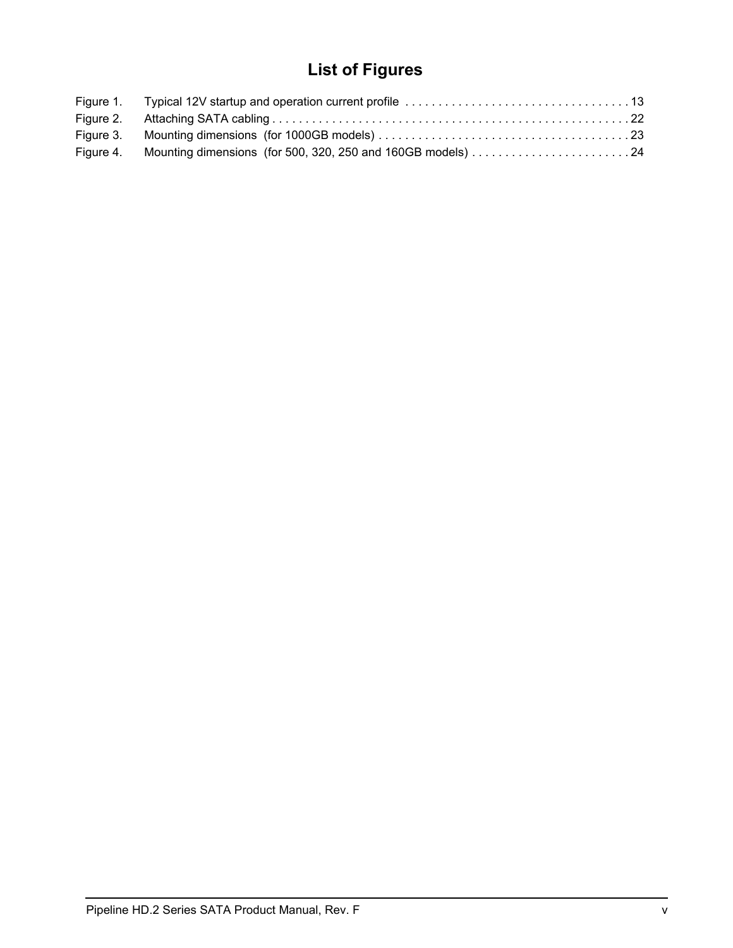## **List of Figures**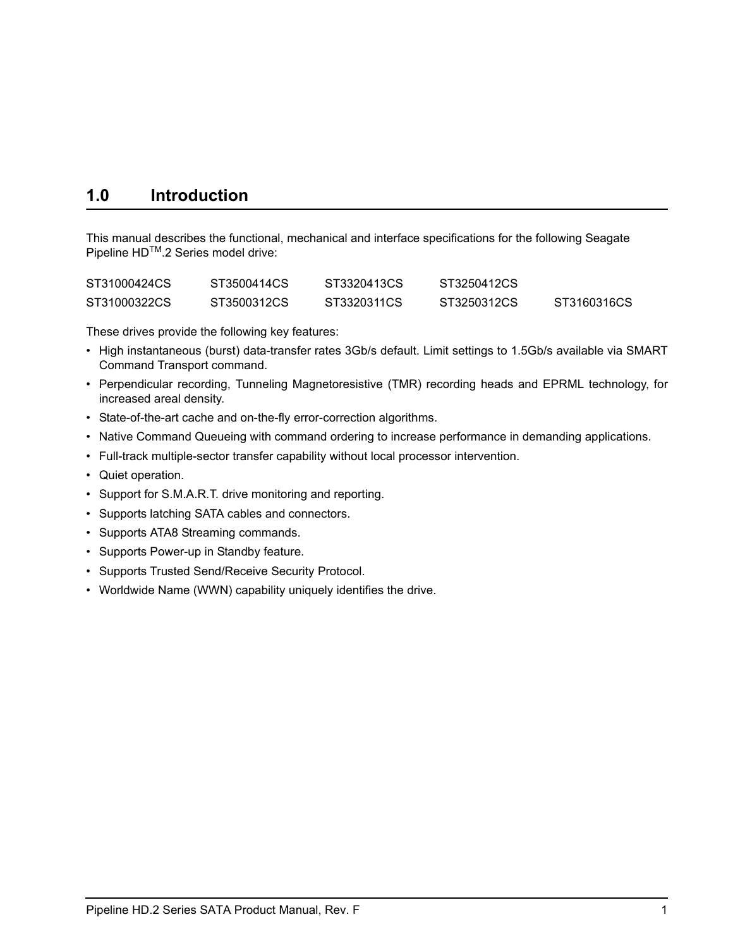## <span id="page-8-0"></span>**1.0 Introduction**

This manual describes the functional, mechanical and interface specifications for the following Seagate Pipeline HD<sup>™</sup>.2 Series model drive:

| ST31000424CS | ST3500414CS | ST3320413CS | ST3250412CS |             |
|--------------|-------------|-------------|-------------|-------------|
| ST31000322CS | ST3500312CS | ST3320311CS | ST3250312CS | ST3160316CS |

<span id="page-8-5"></span>These drives provide the following key features:

- <span id="page-8-2"></span>• High instantaneous (burst) data-transfer rates 3Gb/s default. Limit settings to 1.5Gb/s available via SMART Command Transport command.
- <span id="page-8-6"></span><span id="page-8-3"></span><span id="page-8-1"></span>• Perpendicular recording, Tunneling Magnetoresistive (TMR) recording heads and EPRML technology, for increased areal density.
- <span id="page-8-4"></span>• State-of-the-art cache and on-the-fly error-correction algorithms.
- Native Command Queueing with command ordering to increase performance in demanding applications.
- Full-track multiple-sector transfer capability without local processor intervention.
- Quiet operation.
- Support for S.M.A.R.T. drive monitoring and reporting.
- Supports latching SATA cables and connectors.
- Supports ATA8 Streaming commands.
- Supports Power-up in Standby feature.
- Supports Trusted Send/Receive Security Protocol.
- Worldwide Name (WWN) capability uniquely identifies the drive.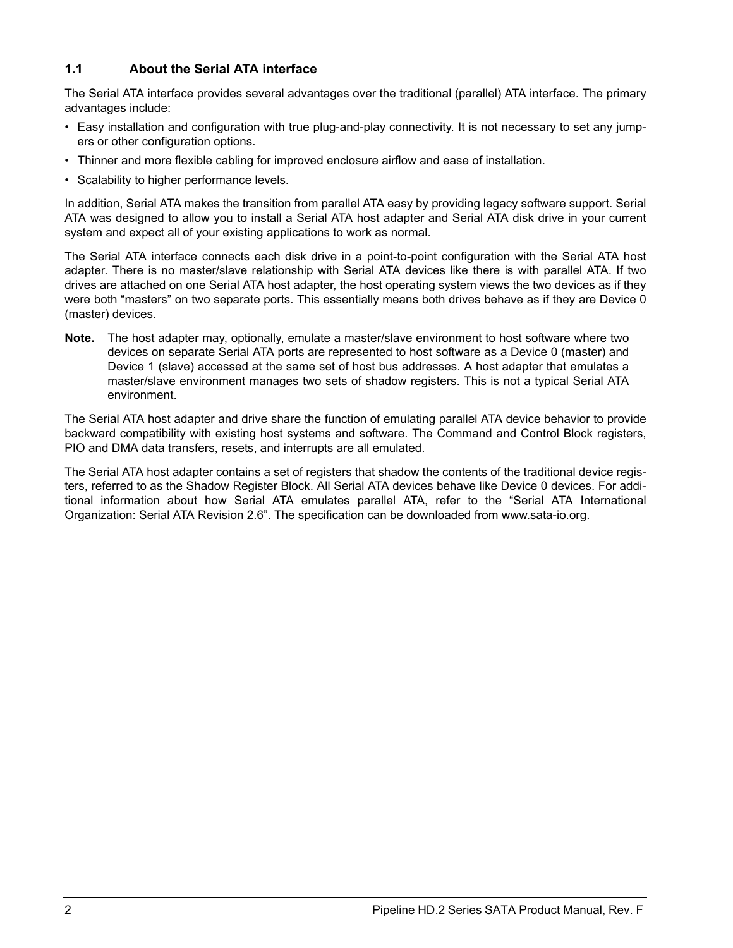## <span id="page-9-0"></span>**1.1 About the Serial ATA interface**

The Serial ATA interface provides several advantages over the traditional (parallel) ATA interface. The primary advantages include:

- Easy installation and configuration with true plug-and-play connectivity. It is not necessary to set any jumpers or other configuration options.
- Thinner and more flexible cabling for improved enclosure airflow and ease of installation.
- Scalability to higher performance levels.

In addition, Serial ATA makes the transition from parallel ATA easy by providing legacy software support. Serial ATA was designed to allow you to install a Serial ATA host adapter and Serial ATA disk drive in your current system and expect all of your existing applications to work as normal.

<span id="page-9-2"></span>The Serial ATA interface connects each disk drive in a point-to-point configuration with the Serial ATA host adapter. There is no master/slave relationship with Serial ATA devices like there is with parallel ATA. If two drives are attached on one Serial ATA host adapter, the host operating system views the two devices as if they were both "masters" on two separate ports. This essentially means both drives behave as if they are Device 0 (master) devices.

<span id="page-9-3"></span><span id="page-9-1"></span>**Note.** The host adapter may, optionally, emulate a master/slave environment to host software where two devices on separate Serial ATA ports are represented to host software as a Device 0 (master) and Device 1 (slave) accessed at the same set of host bus addresses. A host adapter that emulates a master/slave environment manages two sets of shadow registers. This is not a typical Serial ATA environment.

The Serial ATA host adapter and drive share the function of emulating parallel ATA device behavior to provide backward compatibility with existing host systems and software. The Command and Control Block registers, PIO and DMA data transfers, resets, and interrupts are all emulated.

The Serial ATA host adapter contains a set of registers that shadow the contents of the traditional device registers, referred to as the Shadow Register Block. All Serial ATA devices behave like Device 0 devices. For additional information about how Serial ATA emulates parallel ATA, refer to the "Serial ATA International Organization: Serial ATA Revision 2.6". The specification can be downloaded from www.sata-io.org.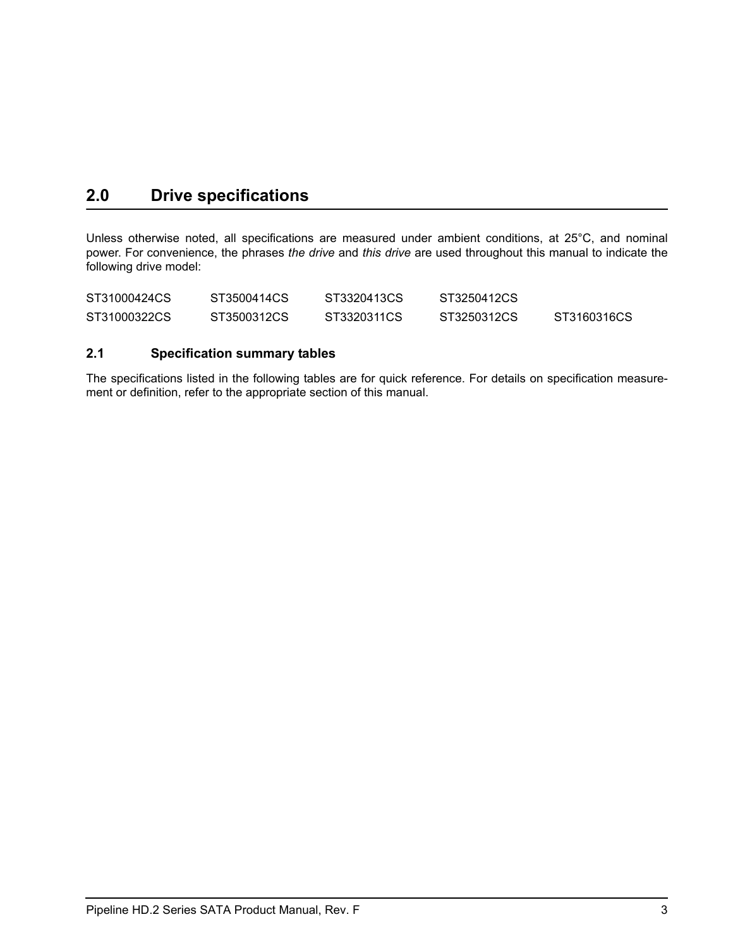## <span id="page-10-0"></span>**2.0 Drive specifications**

Unless otherwise noted, all specifications are measured under ambient conditions, at 25°C, and nominal power. For convenience, the phrases *the drive* and *this drive* are used throughout this manual to indicate the following drive model:

| ST31000424CS | ST3500414CS | ST3320413CS | ST3250412CS |             |
|--------------|-------------|-------------|-------------|-------------|
| ST31000322CS | ST3500312CS | ST3320311CS | ST3250312CS | ST3160316CS |

## <span id="page-10-3"></span><span id="page-10-1"></span>**2.1 Specification summary tables**

<span id="page-10-2"></span>The specifications listed in the following tables are for quick reference. For details on specification measurement or definition, refer to the appropriate section of this manual.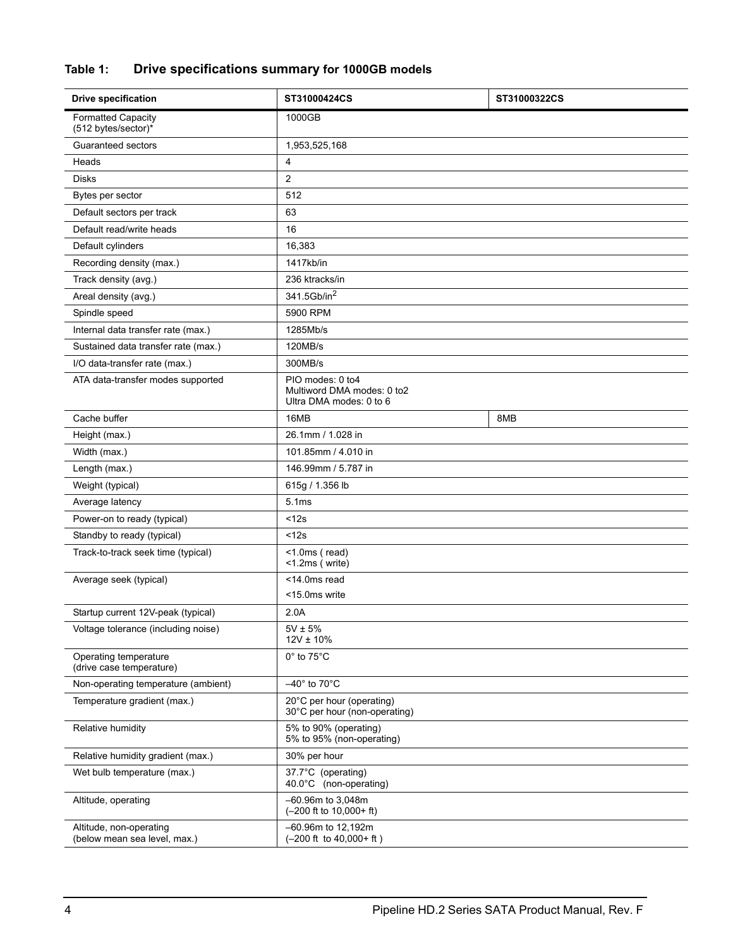## **Table 1: Drive specifications summary for 1000GB models**

| <b>Drive specification</b>                              | ST31000424CS                                                              | ST31000322CS |
|---------------------------------------------------------|---------------------------------------------------------------------------|--------------|
| <b>Formatted Capacity</b><br>(512 bytes/sector)*        | 1000GB                                                                    |              |
| Guaranteed sectors                                      | 1,953,525,168                                                             |              |
| Heads                                                   | 4                                                                         |              |
| <b>Disks</b>                                            | 2                                                                         |              |
| Bytes per sector                                        | 512                                                                       |              |
| Default sectors per track                               | 63                                                                        |              |
| Default read/write heads                                | 16                                                                        |              |
| Default cylinders                                       | 16,383                                                                    |              |
| Recording density (max.)                                | 1417kb/in                                                                 |              |
| Track density (avg.)                                    | 236 ktracks/in                                                            |              |
| Areal density (avg.)                                    | 341.5Gb/in <sup>2</sup>                                                   |              |
| Spindle speed                                           | 5900 RPM                                                                  |              |
| Internal data transfer rate (max.)                      | 1285Mb/s                                                                  |              |
| Sustained data transfer rate (max.)                     | 120MB/s                                                                   |              |
| I/O data-transfer rate (max.)                           | 300MB/s                                                                   |              |
| ATA data-transfer modes supported                       | PIO modes: 0 to4<br>Multiword DMA modes: 0 to2<br>Ultra DMA modes: 0 to 6 |              |
| Cache buffer                                            | 16MB                                                                      | 8MB          |
| Height (max.)                                           | 26.1mm / 1.028 in                                                         |              |
| Width (max.)                                            | 101.85mm / 4.010 in                                                       |              |
| Length (max.)                                           | 146.99mm / 5.787 in                                                       |              |
| Weight (typical)                                        | 615g / 1.356 lb                                                           |              |
| Average latency                                         | 5.1ms                                                                     |              |
| Power-on to ready (typical)                             | < 12s                                                                     |              |
| Standby to ready (typical)                              | < 12s                                                                     |              |
| Track-to-track seek time (typical)                      | $<$ 1.0ms (read)<br><1.2ms (write)                                        |              |
| Average seek (typical)                                  | <14.0ms read                                                              |              |
|                                                         | <15.0ms write                                                             |              |
| Startup current 12V-peak (typical)                      | 2.0A                                                                      |              |
| Voltage tolerance (including noise)                     | $5V \pm 5%$<br>$12V \pm 10\%$                                             |              |
| Operating temperature<br>(drive case temperature)       | $0^\circ$ to 75 $^\circ$ C                                                |              |
| Non-operating temperature (ambient)                     | $-40^\circ$ to 70 $^\circ$ C                                              |              |
| Temperature gradient (max.)                             | 20°C per hour (operating)<br>30°C per hour (non-operating)                |              |
| Relative humidity                                       | 5% to 90% (operating)<br>5% to 95% (non-operating)                        |              |
| Relative humidity gradient (max.)                       | 30% per hour                                                              |              |
| Wet bulb temperature (max.)                             | 37.7°C (operating)<br>40.0°C (non-operating)                              |              |
| Altitude, operating                                     | -60.96m to 3,048m<br>$(-200$ ft to 10,000+ ft)                            |              |
| Altitude, non-operating<br>(below mean sea level, max.) | -60.96m to 12,192m<br>$(-200$ ft to $40,000+$ ft)                         |              |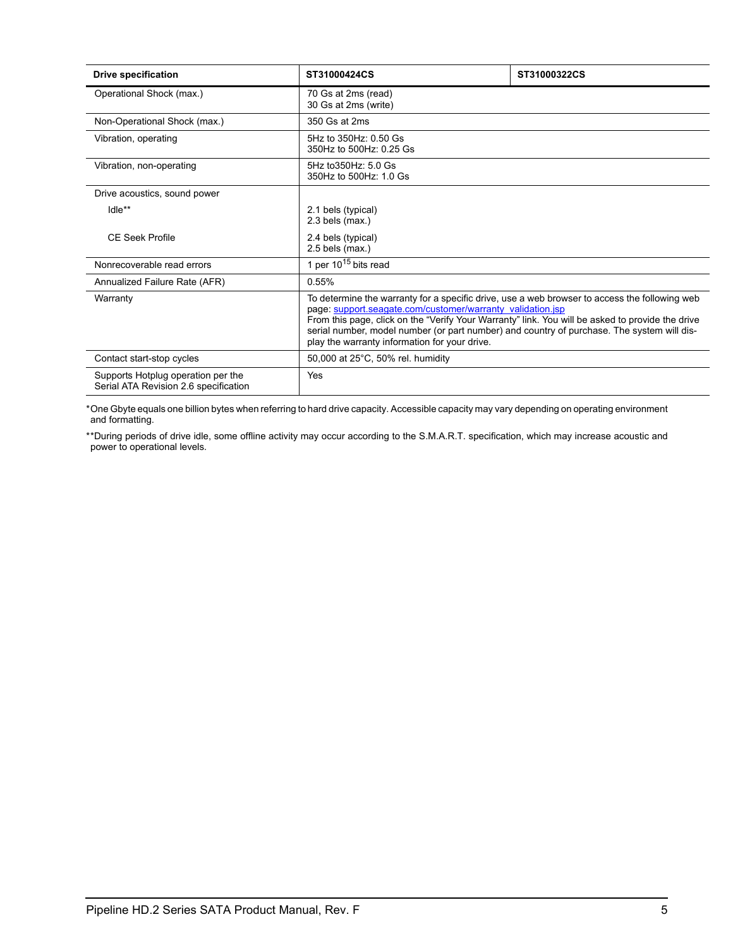| <b>Drive specification</b>                                                  | ST31000424CS                                                                                                                                                                                                                                                                                                                                                                                                   | ST31000322CS |  |
|-----------------------------------------------------------------------------|----------------------------------------------------------------------------------------------------------------------------------------------------------------------------------------------------------------------------------------------------------------------------------------------------------------------------------------------------------------------------------------------------------------|--------------|--|
| Operational Shock (max.)                                                    | 70 Gs at 2ms (read)<br>30 Gs at 2ms (write)                                                                                                                                                                                                                                                                                                                                                                    |              |  |
| Non-Operational Shock (max.)                                                | 350 Gs at 2ms                                                                                                                                                                                                                                                                                                                                                                                                  |              |  |
| Vibration, operating                                                        | 5Hz to 350Hz: 0.50 Gs<br>350Hz to 500Hz: 0.25 Gs                                                                                                                                                                                                                                                                                                                                                               |              |  |
| Vibration, non-operating                                                    | 5Hz to 350Hz: 5.0 Gs<br>350Hz to 500Hz: 1.0 Gs                                                                                                                                                                                                                                                                                                                                                                 |              |  |
| Drive acoustics, sound power                                                |                                                                                                                                                                                                                                                                                                                                                                                                                |              |  |
| Idle**                                                                      | 2.1 bels (typical)<br>$2.3$ bels (max.)                                                                                                                                                                                                                                                                                                                                                                        |              |  |
| CE Seek Profile                                                             | 2.4 bels (typical)<br>$2.5$ bels (max.)                                                                                                                                                                                                                                                                                                                                                                        |              |  |
| Nonrecoverable read errors                                                  | 1 per $10^{15}$ bits read                                                                                                                                                                                                                                                                                                                                                                                      |              |  |
| Annualized Failure Rate (AFR)                                               | 0.55%                                                                                                                                                                                                                                                                                                                                                                                                          |              |  |
| Warranty                                                                    | To determine the warranty for a specific drive, use a web browser to access the following web<br>page: support.seagate.com/customer/warranty_validation.jsp<br>From this page, click on the "Verify Your Warranty" link. You will be asked to provide the drive<br>serial number, model number (or part number) and country of purchase. The system will dis-<br>play the warranty information for your drive. |              |  |
| Contact start-stop cycles                                                   | 50,000 at 25°C, 50% rel. humidity                                                                                                                                                                                                                                                                                                                                                                              |              |  |
| Supports Hotplug operation per the<br>Serial ATA Revision 2.6 specification | Yes                                                                                                                                                                                                                                                                                                                                                                                                            |              |  |

\*One Gbyte equals one billion bytes when referring to hard drive capacity. Accessible capacity may vary depending on operating environment and formatting.

\*\*During periods of drive idle, some offline activity may occur according to the S.M.A.R.T. specification, which may increase acoustic and power to operational levels*.*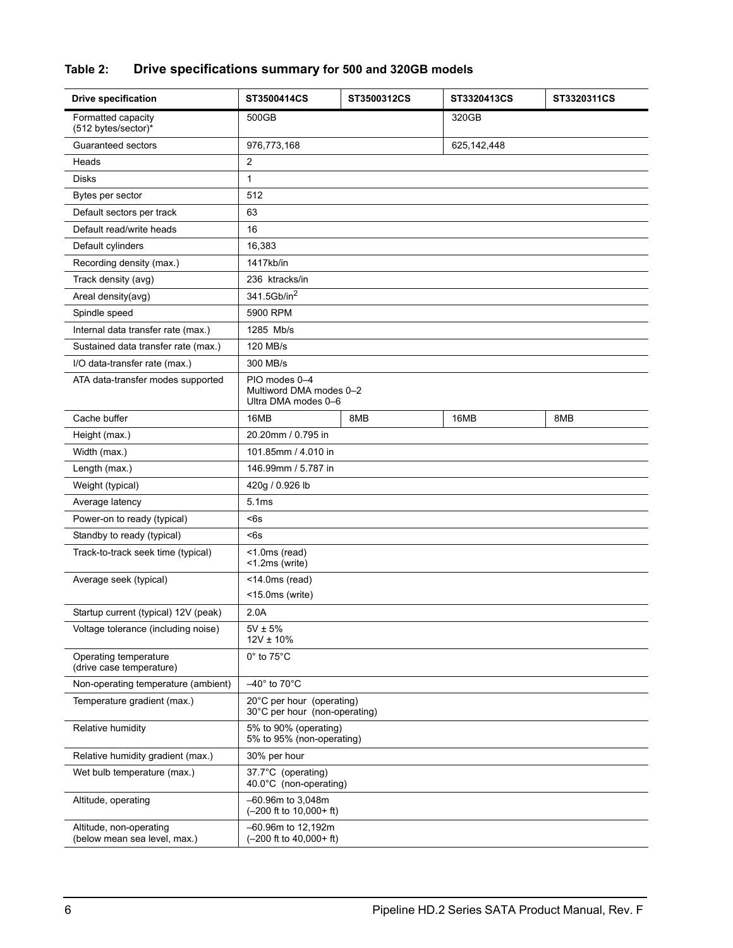## **Table 2: Drive specifications summary for 500 and 320GB models**

| <b>Drive specification</b>                              | ST3500414CS                                                     | ST3500312CS | ST3320413CS   | ST3320311CS |
|---------------------------------------------------------|-----------------------------------------------------------------|-------------|---------------|-------------|
| Formatted capacity<br>(512 bytes/sector)*               | 500GB                                                           |             | 320GB         |             |
| Guaranteed sectors                                      | 976,773,168                                                     |             | 625, 142, 448 |             |
| Heads                                                   | $\overline{c}$                                                  |             |               |             |
| <b>Disks</b>                                            | 1                                                               |             |               |             |
| Bytes per sector                                        | 512                                                             |             |               |             |
| Default sectors per track                               | 63                                                              |             |               |             |
| Default read/write heads                                | 16                                                              |             |               |             |
| Default cylinders                                       | 16,383                                                          |             |               |             |
| Recording density (max.)                                | 1417kb/in                                                       |             |               |             |
| Track density (avg)                                     | 236 ktracks/in                                                  |             |               |             |
| Areal density(avg)                                      | 341.5Gb/in <sup>2</sup>                                         |             |               |             |
| Spindle speed                                           | 5900 RPM                                                        |             |               |             |
| Internal data transfer rate (max.)                      | 1285 Mb/s                                                       |             |               |             |
| Sustained data transfer rate (max.)                     | 120 MB/s                                                        |             |               |             |
| I/O data-transfer rate (max.)                           | 300 MB/s                                                        |             |               |             |
| ATA data-transfer modes supported                       | PIO modes 0-4<br>Multiword DMA modes 0-2<br>Ultra DMA modes 0-6 |             |               |             |
| Cache buffer                                            | 16MB                                                            | 8MB         | 16MB          | 8MB         |
| Height (max.)                                           | 20.20mm / 0.795 in                                              |             |               |             |
| Width (max.)                                            | 101.85mm / 4.010 in                                             |             |               |             |
| Length (max.)                                           | 146.99mm / 5.787 in                                             |             |               |             |
| Weight (typical)                                        | 420g / 0.926 lb                                                 |             |               |             |
| Average latency                                         | 5.1ms                                                           |             |               |             |
| Power-on to ready (typical)                             | <6s                                                             |             |               |             |
| Standby to ready (typical)                              | <6s                                                             |             |               |             |
| Track-to-track seek time (typical)                      | $<$ 1.0ms (read)<br><1.2ms (write)                              |             |               |             |
| Average seek (typical)                                  | $<$ 14.0ms (read)                                               |             |               |             |
|                                                         | $<$ 15.0ms (write)                                              |             |               |             |
| Startup current (typical) 12V (peak)                    | 2.0A                                                            |             |               |             |
| Voltage tolerance (including noise)                     | $5V \pm 5\%$<br>$12V \pm 10\%$                                  |             |               |             |
| Operating temperature<br>(drive case temperature)       | 0° to 75°C                                                      |             |               |             |
| Non-operating temperature (ambient)                     | $-40^\circ$ to 70 $^\circ$ C                                    |             |               |             |
| Temperature gradient (max.)                             | 20°C per hour (operating)<br>30°C per hour (non-operating)      |             |               |             |
| Relative humidity                                       | 5% to 90% (operating)<br>5% to 95% (non-operating)              |             |               |             |
| Relative humidity gradient (max.)                       | 30% per hour                                                    |             |               |             |
| Wet bulb temperature (max.)                             | 37.7°C (operating)<br>40.0°C (non-operating)                    |             |               |             |
| Altitude, operating                                     | $-60.96m$ to 3,048m<br>$(-200$ ft to $10,000+$ ft)              |             |               |             |
| Altitude, non-operating<br>(below mean sea level, max.) | -60.96m to 12,192m<br>$(-200$ ft to $40,000+$ ft)               |             |               |             |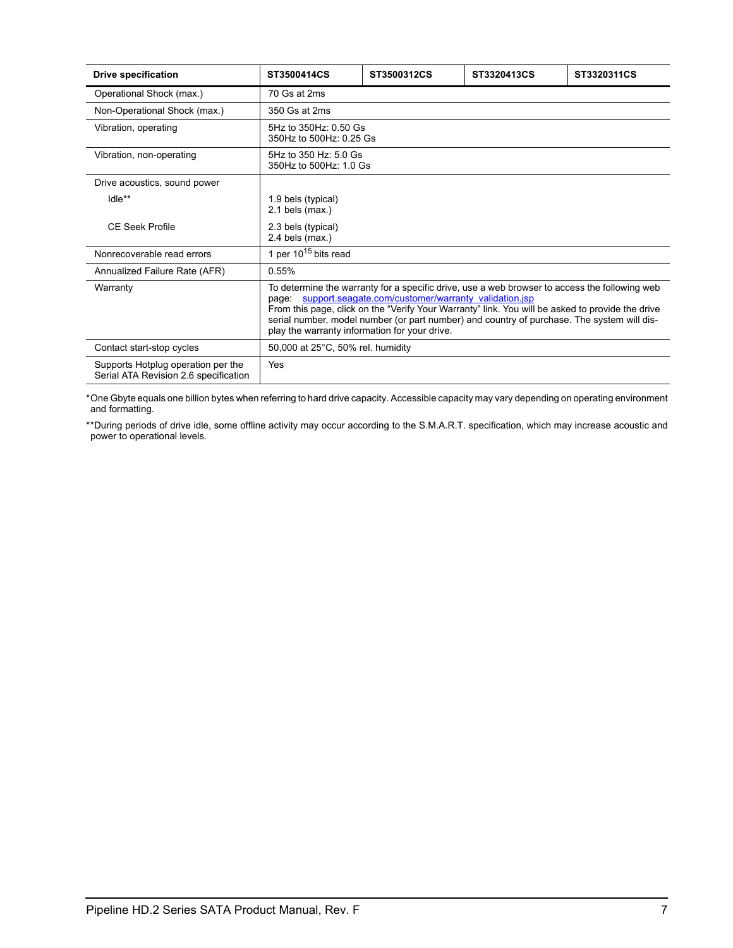| <b>Drive specification</b>                                                  | ST3500414CS                                      | ST3500312CS                                                | ST3320413CS                                                                                                                                                                                                                                                                                     | ST3320311CS |
|-----------------------------------------------------------------------------|--------------------------------------------------|------------------------------------------------------------|-------------------------------------------------------------------------------------------------------------------------------------------------------------------------------------------------------------------------------------------------------------------------------------------------|-------------|
| Operational Shock (max.)                                                    | 70 Gs at 2ms                                     |                                                            |                                                                                                                                                                                                                                                                                                 |             |
| Non-Operational Shock (max.)                                                | 350 Gs at 2ms                                    |                                                            |                                                                                                                                                                                                                                                                                                 |             |
| Vibration, operating                                                        | 5Hz to 350Hz: 0.50 Gs<br>350Hz to 500Hz: 0.25 Gs |                                                            |                                                                                                                                                                                                                                                                                                 |             |
| Vibration, non-operating                                                    | 5Hz to 350 Hz: 5.0 Gs<br>350Hz to 500Hz: 1.0 Gs  |                                                            |                                                                                                                                                                                                                                                                                                 |             |
| Drive acoustics, sound power                                                |                                                  |                                                            |                                                                                                                                                                                                                                                                                                 |             |
| Idle**                                                                      | 1.9 bels (typical)<br>$2.1$ bels (max.)          |                                                            |                                                                                                                                                                                                                                                                                                 |             |
| <b>CE Seek Profile</b>                                                      | 2.3 bels (typical)<br>$2.4$ bels (max.)          |                                                            |                                                                                                                                                                                                                                                                                                 |             |
| Nonrecoverable read errors                                                  | 1 per $10^{15}$ bits read                        |                                                            |                                                                                                                                                                                                                                                                                                 |             |
| Annualized Failure Rate (AFR)                                               | 0.55%                                            |                                                            |                                                                                                                                                                                                                                                                                                 |             |
| Warranty                                                                    | play the warranty information for your drive.    | page: support.seagate.com/customer/warranty validation.jsp | To determine the warranty for a specific drive, use a web browser to access the following web<br>From this page, click on the "Verify Your Warranty" link. You will be asked to provide the drive<br>serial number, model number (or part number) and country of purchase. The system will dis- |             |
| Contact start-stop cycles                                                   | 50,000 at 25°C, 50% rel. humidity                |                                                            |                                                                                                                                                                                                                                                                                                 |             |
| Supports Hotplug operation per the<br>Serial ATA Revision 2.6 specification | Yes                                              |                                                            |                                                                                                                                                                                                                                                                                                 |             |

\*One Gbyte equals one billion bytes when referring to hard drive capacity. Accessible capacity may vary depending on operating environment and formatting.

\*\*During periods of drive idle, some offline activity may occur according to the S.M.A.R.T. specification, which may increase acoustic and power to operational levels*.*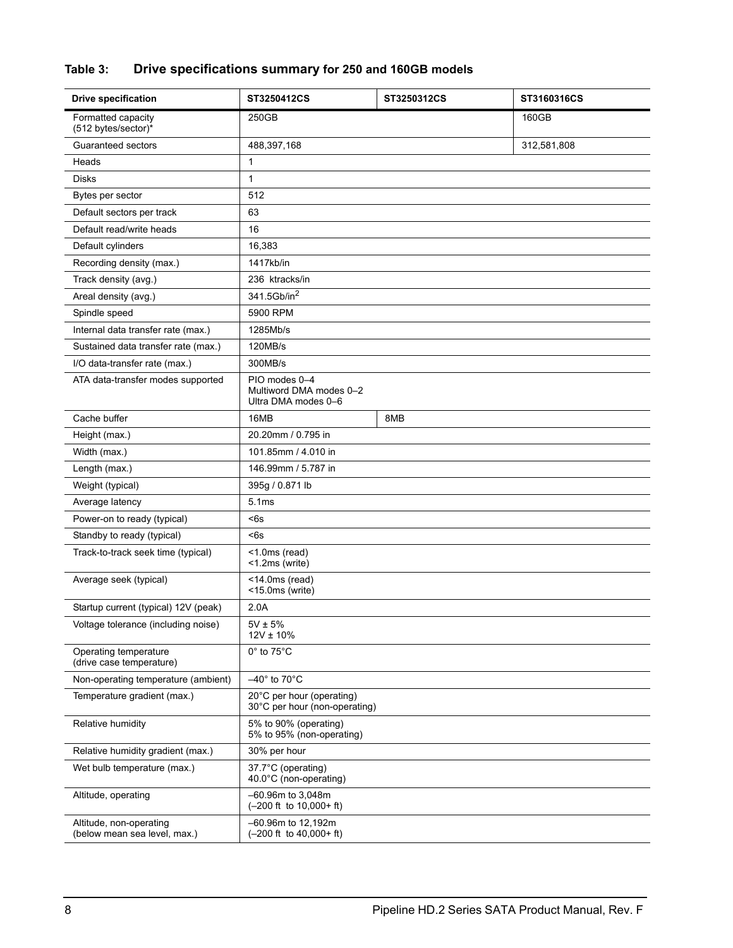## **Table 3: Drive specifications summary for 250 and 160GB models**

| <b>Drive specification</b>                              | ST3250412CS                                                     | ST3250312CS | ST3160316CS |
|---------------------------------------------------------|-----------------------------------------------------------------|-------------|-------------|
| Formatted capacity<br>(512 bytes/sector)*               | 250GB                                                           |             | 160GB       |
| Guaranteed sectors                                      | 488,397,168                                                     |             | 312,581,808 |
| Heads                                                   | 1                                                               |             |             |
| <b>Disks</b>                                            | 1                                                               |             |             |
| Bytes per sector                                        | 512                                                             |             |             |
| Default sectors per track                               | 63                                                              |             |             |
| Default read/write heads                                | 16                                                              |             |             |
| Default cylinders                                       | 16,383                                                          |             |             |
| Recording density (max.)                                | 1417kb/in                                                       |             |             |
| Track density (avg.)                                    | 236 ktracks/in                                                  |             |             |
| Areal density (avg.)                                    | 341.5Gb/in <sup>2</sup>                                         |             |             |
| Spindle speed                                           | 5900 RPM                                                        |             |             |
| Internal data transfer rate (max.)                      | 1285Mb/s                                                        |             |             |
| Sustained data transfer rate (max.)                     | 120MB/s                                                         |             |             |
| I/O data-transfer rate (max.)                           | 300MB/s                                                         |             |             |
| ATA data-transfer modes supported                       | PIO modes 0-4<br>Multiword DMA modes 0-2<br>Ultra DMA modes 0-6 |             |             |
| Cache buffer                                            | 16MB                                                            | 8MB         |             |
| Height (max.)                                           | 20.20mm / 0.795 in                                              |             |             |
| Width (max.)                                            | 101.85mm / 4.010 in                                             |             |             |
| Length (max.)                                           | 146.99mm / 5.787 in                                             |             |             |
| Weight (typical)                                        | 395g / 0.871 lb                                                 |             |             |
| Average latency                                         | 5.1ms                                                           |             |             |
| Power-on to ready (typical)                             | <6s                                                             |             |             |
| Standby to ready (typical)                              | <6s                                                             |             |             |
| Track-to-track seek time (typical)                      | $<$ 1.0ms (read)<br><1.2ms (write)                              |             |             |
| Average seek (typical)                                  | $<$ 14.0ms (read)<br><15.0ms (write)                            |             |             |
| Startup current (typical) 12V (peak)                    | 2.0A                                                            |             |             |
| Voltage tolerance (including noise)                     | $5V \pm 5%$<br>$12V \pm 10\%$                                   |             |             |
| Operating temperature<br>(drive case temperature)       | $0^\circ$ to $75^\circ C$                                       |             |             |
| Non-operating temperature (ambient)                     | $-40^\circ$ to 70 $^\circ$ C                                    |             |             |
| Temperature gradient (max.)                             | 20°C per hour (operating)<br>30°C per hour (non-operating)      |             |             |
| Relative humidity                                       | 5% to 90% (operating)<br>5% to 95% (non-operating)              |             |             |
| Relative humidity gradient (max.)                       | 30% per hour                                                    |             |             |
| Wet bulb temperature (max.)                             | 37.7°C (operating)<br>40.0°C (non-operating)                    |             |             |
| Altitude, operating                                     | -60.96m to 3,048m<br>$(-200$ ft to $10,000+$ ft)                |             |             |
| Altitude, non-operating<br>(below mean sea level, max.) | -60.96m to 12,192m<br>$(-200$ ft to $40,000+$ ft)               |             |             |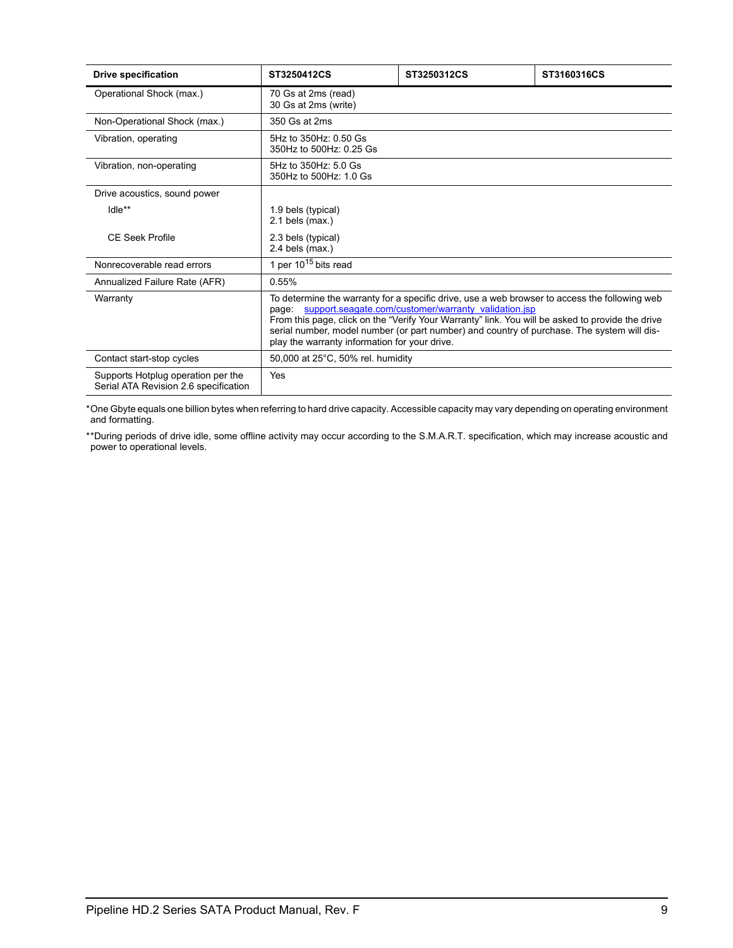| <b>Drive specification</b>                                                  | ST3250412CS                                            | ST3250312CS                                                                                                                                                                                                                                                                                                                                             | ST3160316CS |
|-----------------------------------------------------------------------------|--------------------------------------------------------|---------------------------------------------------------------------------------------------------------------------------------------------------------------------------------------------------------------------------------------------------------------------------------------------------------------------------------------------------------|-------------|
| Operational Shock (max.)                                                    | 70 Gs at 2ms (read)<br>30 Gs at 2ms (write)            |                                                                                                                                                                                                                                                                                                                                                         |             |
| Non-Operational Shock (max.)                                                | 350 Gs at 2ms                                          |                                                                                                                                                                                                                                                                                                                                                         |             |
| Vibration, operating                                                        | 5Hz to 350Hz: 0.50 Gs<br>350Hz to 500Hz: 0.25 Gs       |                                                                                                                                                                                                                                                                                                                                                         |             |
| Vibration, non-operating                                                    | 5Hz to 350Hz: 5.0 Gs<br>350Hz to 500Hz: 1.0 Gs         |                                                                                                                                                                                                                                                                                                                                                         |             |
| Drive acoustics, sound power                                                |                                                        |                                                                                                                                                                                                                                                                                                                                                         |             |
| Idle**                                                                      | 1.9 bels (typical)<br>$2.1$ bels (max.)                |                                                                                                                                                                                                                                                                                                                                                         |             |
| <b>CE Seek Profile</b>                                                      | 2.3 bels (typical)<br>$2.4$ bels (max.)                |                                                                                                                                                                                                                                                                                                                                                         |             |
| Nonrecoverable read errors                                                  | 1 per $10^{15}$ bits read                              |                                                                                                                                                                                                                                                                                                                                                         |             |
| Annualized Failure Rate (AFR)                                               | 0.55%                                                  |                                                                                                                                                                                                                                                                                                                                                         |             |
| Warranty                                                                    | page:<br>play the warranty information for your drive. | To determine the warranty for a specific drive, use a web browser to access the following web<br>support.seagate.com/customer/warranty_validation.jsp<br>From this page, click on the "Verify Your Warranty" link. You will be asked to provide the drive<br>serial number, model number (or part number) and country of purchase. The system will dis- |             |
| Contact start-stop cycles                                                   | 50,000 at 25°C, 50% rel. humidity                      |                                                                                                                                                                                                                                                                                                                                                         |             |
| Supports Hotplug operation per the<br>Serial ATA Revision 2.6 specification | Yes                                                    |                                                                                                                                                                                                                                                                                                                                                         |             |

\*One Gbyte equals one billion bytes when referring to hard drive capacity. Accessible capacity may vary depending on operating environment and formatting.

\*\*During periods of drive idle, some offline activity may occur according to the S.M.A.R.T. specification, which may increase acoustic and power to operational levels*.*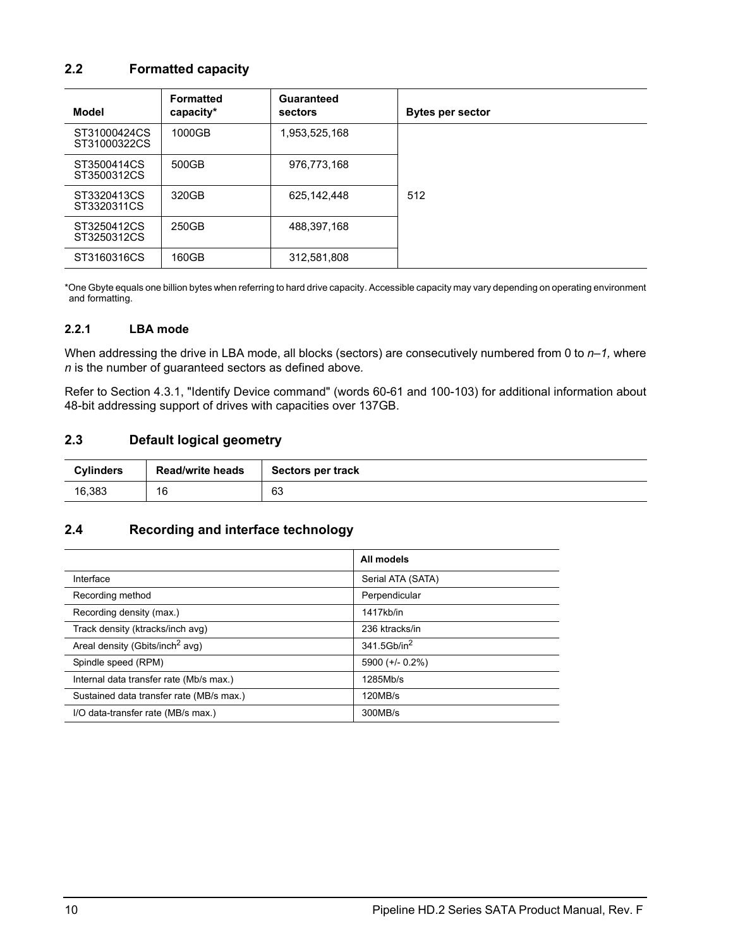## <span id="page-17-9"></span><span id="page-17-5"></span><span id="page-17-0"></span>**2.2 Formatted capacity**

| Model                        | <b>Formatted</b><br>capacity* | Guaranteed<br>sectors | <b>Bytes per sector</b> |
|------------------------------|-------------------------------|-----------------------|-------------------------|
| ST31000424CS<br>ST31000322CS | 1000GB                        | 1,953,525,168         |                         |
| ST3500414CS<br>ST3500312CS   | 500GB                         | 976,773,168           |                         |
| ST3320413CS<br>ST3320311CS   | 320GB                         | 625, 142, 448         | 512                     |
| ST3250412CS<br>ST3250312CS   | 250GB                         | 488.397.168           |                         |
| ST3160316CS                  | 160GB                         | 312,581,808           |                         |

\*One Gbyte equals one billion bytes when referring to hard drive capacity. Accessible capacity may vary depending on operating environment and formatting.

#### <span id="page-17-16"></span><span id="page-17-1"></span>**2.2.1 LBA mode**

<span id="page-17-22"></span><span id="page-17-11"></span>When addressing the drive in LBA mode, all blocks (sectors) are consecutively numbered from 0 to  $n-1$ , where *n* is the number of guaranteed sectors as defined above*.*

Refer to [Section 4.3.1, "Identify Device command"](#page-36-0) (words 60-61 and 100-103) for additional information about 48-bit addressing support of drives with capacities over 137GB.

#### <span id="page-17-17"></span><span id="page-17-10"></span><span id="page-17-7"></span><span id="page-17-2"></span>**2.3 Default logical geometry**

<span id="page-17-23"></span><span id="page-17-18"></span><span id="page-17-12"></span><span id="page-17-6"></span>

| <b>Cylinders</b> | <b>Read/write heads</b> | Sectors per track |
|------------------|-------------------------|-------------------|
| 16.383           | 16                      | 63                |

### <span id="page-17-21"></span><span id="page-17-3"></span>**2.4 Recording and interface technology**

<span id="page-17-25"></span><span id="page-17-24"></span><span id="page-17-20"></span><span id="page-17-19"></span><span id="page-17-15"></span><span id="page-17-14"></span><span id="page-17-13"></span><span id="page-17-8"></span><span id="page-17-4"></span>

|                                             | All models              |
|---------------------------------------------|-------------------------|
| Interface                                   | Serial ATA (SATA)       |
| Recording method                            | Perpendicular           |
| Recording density (max.)                    | 1417kb/in               |
| Track density (ktracks/inch avg)            | 236 ktracks/in          |
| Areal density (Gbits/inch <sup>2</sup> avg) | 341.5Gb/in <sup>2</sup> |
| Spindle speed (RPM)                         | 5900 (+/- 0.2%)         |
| Internal data transfer rate (Mb/s max.)     | 1285Mb/s                |
| Sustained data transfer rate (MB/s max.)    | 120MB/s                 |
| I/O data-transfer rate (MB/s max.)          | 300MB/s                 |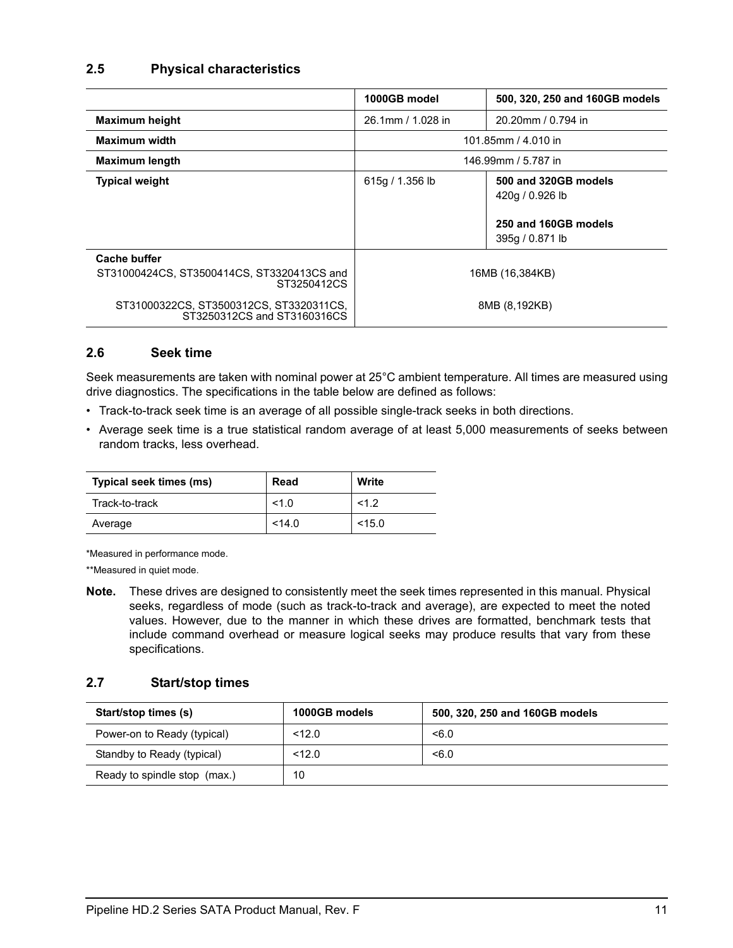### <span id="page-18-10"></span><span id="page-18-0"></span>**2.5 Physical characteristics**

<span id="page-18-20"></span><span id="page-18-19"></span><span id="page-18-8"></span><span id="page-18-7"></span>

|                                                                                  | 1000GB model        | 500, 320, 250 and 160GB models                                                     |  |
|----------------------------------------------------------------------------------|---------------------|------------------------------------------------------------------------------------|--|
| <b>Maximum height</b>                                                            | 26.1mm / 1.028 in   | 20.20mm / 0.794 in                                                                 |  |
| Maximum width                                                                    | 101.85mm / 4.010 in |                                                                                    |  |
| <b>Maximum length</b>                                                            | 146.99mm / 5.787 in |                                                                                    |  |
| <b>Typical weight</b>                                                            | 615g / 1.356 lb     | 500 and 320GB models<br>420g / 0.926 lb<br>250 and 160GB models<br>395q / 0.871 lb |  |
| <b>Cache buffer</b><br>ST31000424CS, ST3500414CS, ST3320413CS and<br>ST3250412CS | 16MB (16,384KB)     |                                                                                    |  |
| ST31000322CS, ST3500312CS, ST3320311CS,<br>ST3250312CS and ST3160316CS           |                     | 8MB (8,192KB)                                                                      |  |

### <span id="page-18-12"></span><span id="page-18-6"></span><span id="page-18-5"></span><span id="page-18-1"></span>**2.6 Seek time**

<span id="page-18-16"></span><span id="page-18-9"></span><span id="page-18-3"></span>Seek measurements are taken with nominal power at 25°C ambient temperature. All times are measured using drive diagnostics. The specifications in the table below are defined as follows:

- <span id="page-18-18"></span><span id="page-18-13"></span><span id="page-18-4"></span>• Track-to-track seek time is an average of all possible single-track seeks in both directions.
- Average seek time is a true statistical random average of at least 5,000 measurements of seeks between random tracks, less overhead.

<span id="page-18-17"></span>

| Typical seek times (ms) | Read   | Write  |
|-------------------------|--------|--------|
| Track-to-track          | 1.0    | 1.2    |
| Average                 | < 14.0 | < 15.0 |

\*Measured in performance mode.

\*\*Measured in quiet mode.

**Note.** These drives are designed to consistently meet the seek times represented in this manual. Physical seeks, regardless of mode (such as track-to-track and average), are expected to meet the noted values. However, due to the manner in which these drives are formatted, benchmark tests that include command overhead or measure logical seeks may produce results that vary from these specifications.

### <span id="page-18-15"></span><span id="page-18-2"></span>**2.7 Start/stop times**

<span id="page-18-14"></span><span id="page-18-11"></span>

| Start/stop times (s)         | 1000GB models | 500, 320, 250 and 160GB models |
|------------------------------|---------------|--------------------------------|
| Power-on to Ready (typical)  | 12.0          | < 6.0                          |
| Standby to Ready (typical)   | < 12.0        | < 6.0                          |
| Ready to spindle stop (max.) | 10            |                                |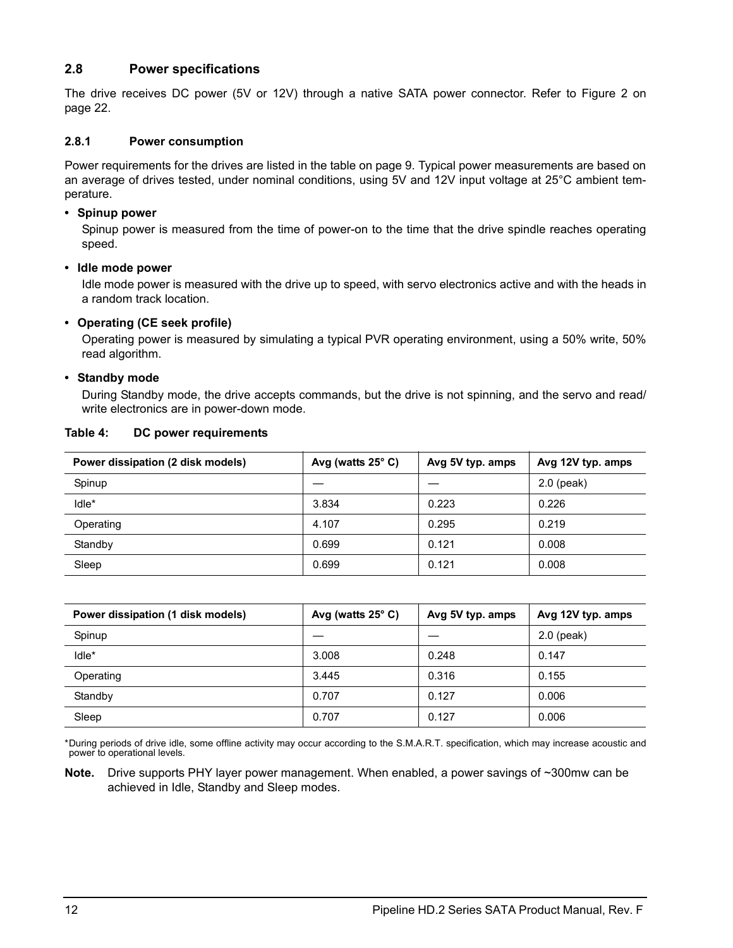## <span id="page-19-11"></span><span id="page-19-0"></span>**2.8 Power specifications**

<span id="page-19-3"></span>The drive receives DC power (5V or 12V) through a native SATA power connector. Refer to Figure [2](#page-29-2) on [page 22.](#page-29-2)

#### <span id="page-19-9"></span><span id="page-19-1"></span>**2.8.1 Power consumption**

Power requirements for the drives are listed in the table on page 9. Typical power measurements are based on an average of drives tested, under nominal conditions, using 5V and 12V input voltage at 25°C ambient temperature.

#### **• Spinup power**

<span id="page-19-18"></span><span id="page-19-15"></span><span id="page-19-6"></span><span id="page-19-2"></span>Spinup power is measured from the time of power-on to the time that the drive spindle reaches operating speed.

#### **• Idle mode power**

<span id="page-19-12"></span><span id="page-19-5"></span>Idle mode power is measured with the drive up to speed, with servo electronics active and with the heads in a random track location.

#### **• Operating (CE seek profile)**

<span id="page-19-8"></span>Operating power is measured by simulating a typical PVR operating environment, using a 50% write, 50% read algorithm.

#### **• Standby mode**

<span id="page-19-17"></span>During Standby mode, the drive accepts commands, but the drive is not spinning, and the servo and read/ write electronics are in power-down mode.

<span id="page-19-14"></span><span id="page-19-10"></span><span id="page-19-7"></span><span id="page-19-4"></span>

| Power dissipation (2 disk models) | Avg (watts $25^{\circ}$ C) | Avg 5V typ. amps | Avg 12V typ. amps |
|-----------------------------------|----------------------------|------------------|-------------------|
| Spinup                            |                            |                  | $2.0$ (peak)      |
| Idle*                             | 3.834                      | 0.223            | 0.226             |
| Operating                         | 4.107                      | 0.295            | 0.219             |
| Standby                           | 0.699                      | 0.121            | 0.008             |
| Sleep                             | 0.699                      | 0.121            | 0.008             |

#### **Table 4: DC power requirements**

<span id="page-19-16"></span><span id="page-19-13"></span>

| Power dissipation (1 disk models) | Avg (watts $25^{\circ}$ C) | Avg 5V typ. amps | Avg 12V typ. amps |
|-----------------------------------|----------------------------|------------------|-------------------|
| Spinup                            |                            |                  | $2.0$ (peak)      |
| Idle*                             | 3.008                      | 0.248            | 0.147             |
| Operating                         | 3.445                      | 0.316            | 0.155             |
| Standby                           | 0.707                      | 0.127            | 0.006             |
| Sleep                             | 0.707                      | 0.127            | 0.006             |

\*During periods of drive idle, some offline activity may occur according to the S.M.A.R.T. specification, which may increase acoustic and power to operational levels*.*

**Note.** Drive supports PHY layer power management. When enabled, a power savings of ~300mw can be achieved in Idle, Standby and Sleep modes.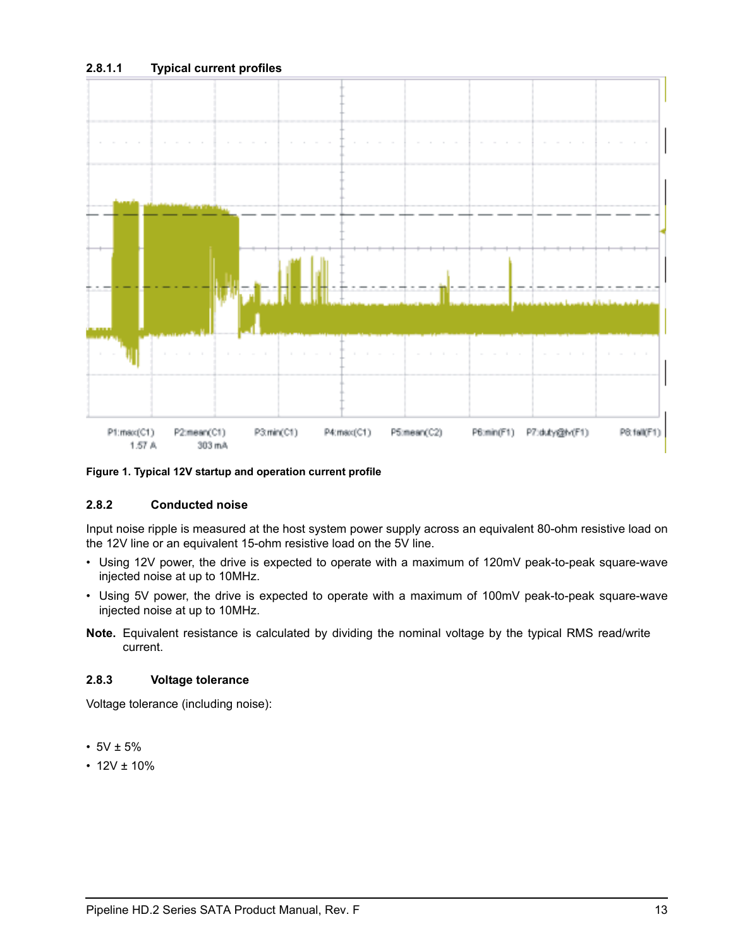### **2.8.1.1 Typical current profiles**



<span id="page-20-2"></span>**Figure 1. Typical 12V startup and operation current profile**

### <span id="page-20-5"></span><span id="page-20-3"></span><span id="page-20-0"></span>**2.8.2 Conducted noise**

<span id="page-20-4"></span>Input noise ripple is measured at the host system power supply across an equivalent 80-ohm resistive load on the 12V line or an equivalent 15-ohm resistive load on the 5V line.

- Using 12V power, the drive is expected to operate with a maximum of 120mV peak-to-peak square-wave injected noise at up to 10MHz.
- Using 5V power, the drive is expected to operate with a maximum of 100mV peak-to-peak square-wave injected noise at up to 10MHz.
- <span id="page-20-6"></span>**Note.** Equivalent resistance is calculated by dividing the nominal voltage by the typical RMS read/write current.

### <span id="page-20-7"></span><span id="page-20-1"></span>**2.8.3 Voltage tolerance**

Voltage tolerance (including noise):

- $5V \pm 5%$
- $12V \pm 10\%$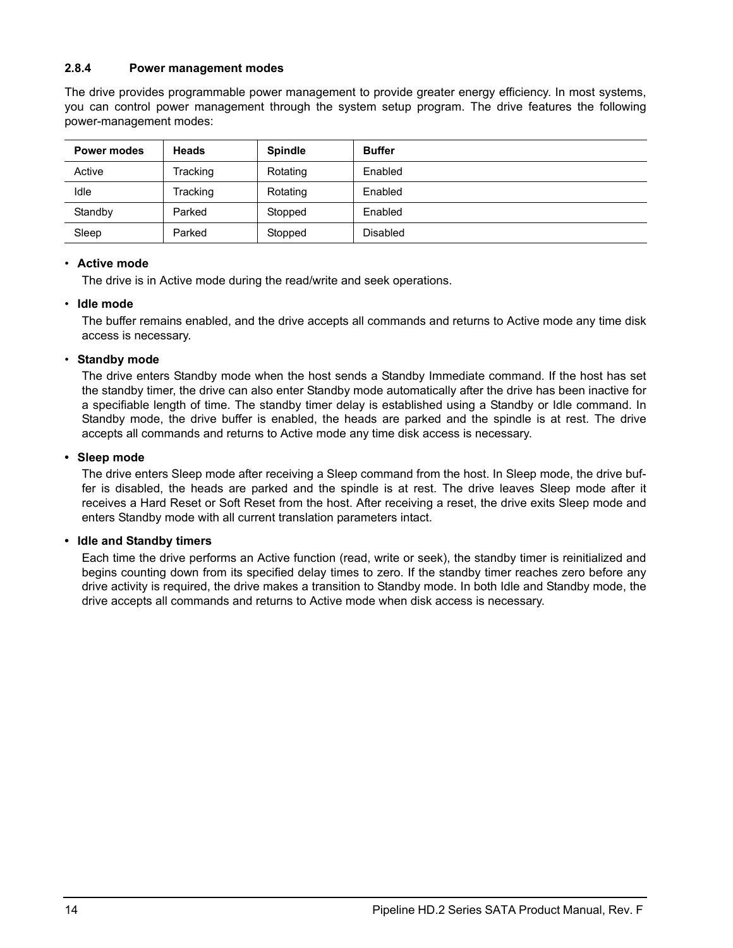### <span id="page-21-3"></span><span id="page-21-0"></span>**2.8.4 Power management modes**

<span id="page-21-4"></span>The drive provides programmable power management to provide greater energy efficiency. In most systems, you can control power management through the system setup program. The drive features the following power-management modes:

| <b>Power modes</b> | <b>Heads</b> | <b>Spindle</b> | <b>Buffer</b>   |
|--------------------|--------------|----------------|-----------------|
| Active             | Tracking     | Rotating       | Enabled         |
| Idle               | Tracking     | Rotating       | Enabled         |
| Standby            | Parked       | Stopped        | Enabled         |
| Sleep              | Parked       | Stopped        | <b>Disabled</b> |

### <span id="page-21-1"></span>• **Active mode**

<span id="page-21-2"></span>The drive is in Active mode during the read/write and seek operations.

#### • **Idle mode**

The buffer remains enabled, and the drive accepts all commands and returns to Active mode any time disk access is necessary.

#### <span id="page-21-6"></span>• **Standby mode**

<span id="page-21-7"></span>The drive enters Standby mode when the host sends a Standby Immediate command. If the host has set the standby timer, the drive can also enter Standby mode automatically after the drive has been inactive for a specifiable length of time. The standby timer delay is established using a Standby or Idle command. In Standby mode, the drive buffer is enabled, the heads are parked and the spindle is at rest. The drive accepts all commands and returns to Active mode any time disk access is necessary.

#### <span id="page-21-5"></span>**• Sleep mode**

The drive enters Sleep mode after receiving a Sleep command from the host. In Sleep mode, the drive buffer is disabled, the heads are parked and the spindle is at rest. The drive leaves Sleep mode after it receives a Hard Reset or Soft Reset from the host. After receiving a reset, the drive exits Sleep mode and enters Standby mode with all current translation parameters intact.

#### **• Idle and Standby timers**

<span id="page-21-8"></span>Each time the drive performs an Active function (read, write or seek), the standby timer is reinitialized and begins counting down from its specified delay times to zero. If the standby timer reaches zero before any drive activity is required, the drive makes a transition to Standby mode. In both Idle and Standby mode, the drive accepts all commands and returns to Active mode when disk access is necessary.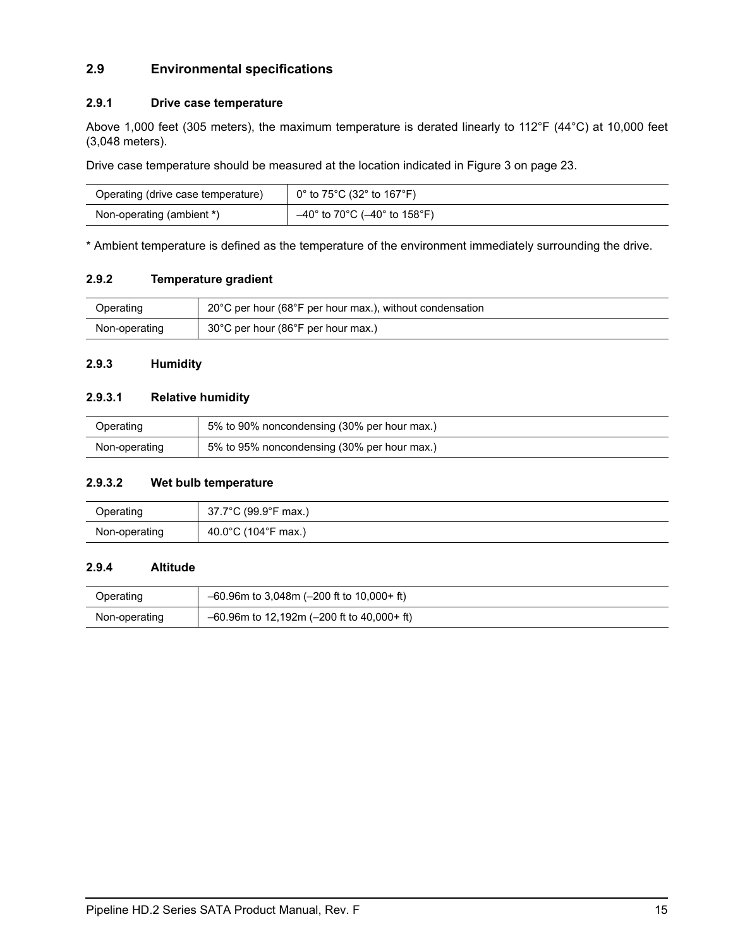## <span id="page-22-7"></span><span id="page-22-0"></span>**2.9 Environmental specifications**

### <span id="page-22-11"></span><span id="page-22-6"></span><span id="page-22-1"></span>**2.9.1 Drive case temperature**

<span id="page-22-9"></span>Above 1,000 feet (305 meters), the maximum temperature is derated linearly to 112°F (44°C) at 10,000 feet (3,048 meters).

Drive case temperature should be measured at the location indicated in [Figure 3 on page 23.](#page-30-1)

| Operating (drive case temperature) | $0^{\circ}$ to 75 $^{\circ}$ C (32 $^{\circ}$ to 167 $^{\circ}$ F) |
|------------------------------------|--------------------------------------------------------------------|
| Non-operating (ambient *)          | $-40^{\circ}$ to 70°C ( $-40^{\circ}$ to 158°F)                    |

\* Ambient temperature is defined as the temperature of the environment immediately surrounding the drive.

#### <span id="page-22-12"></span><span id="page-22-2"></span>**2.9.2 Temperature gradient**

| Operating     | 20°C per hour (68°F per hour max.), without condensation |
|---------------|----------------------------------------------------------|
| Non-operating | $30^{\circ}$ C per hour (86 $^{\circ}$ F per hour max.)  |

### <span id="page-22-8"></span><span id="page-22-3"></span>**2.9.3 Humidity**

### <span id="page-22-10"></span>**2.9.3.1 Relative humidity**

| Operating     | 5% to 90% noncondensing (30% per hour max.) |
|---------------|---------------------------------------------|
| Non-operating | 5% to 95% noncondensing (30% per hour max.) |

#### <span id="page-22-13"></span>**2.9.3.2 Wet bulb temperature**

| Operating     | 37.7°C (99.9°F max.)                      |
|---------------|-------------------------------------------|
| Non-operating | 40.0 $^{\circ}$ C (104 $^{\circ}$ F max.) |

### <span id="page-22-5"></span><span id="page-22-4"></span>**2.9.4 Altitude**

| Operating     | $-60.96$ m to 3,048m ( $-200$ ft to 10,000+ ft)  |  |
|---------------|--------------------------------------------------|--|
| Non-operating | $-60.96$ m to 12,192m ( $-200$ ft to 40,000+ ft) |  |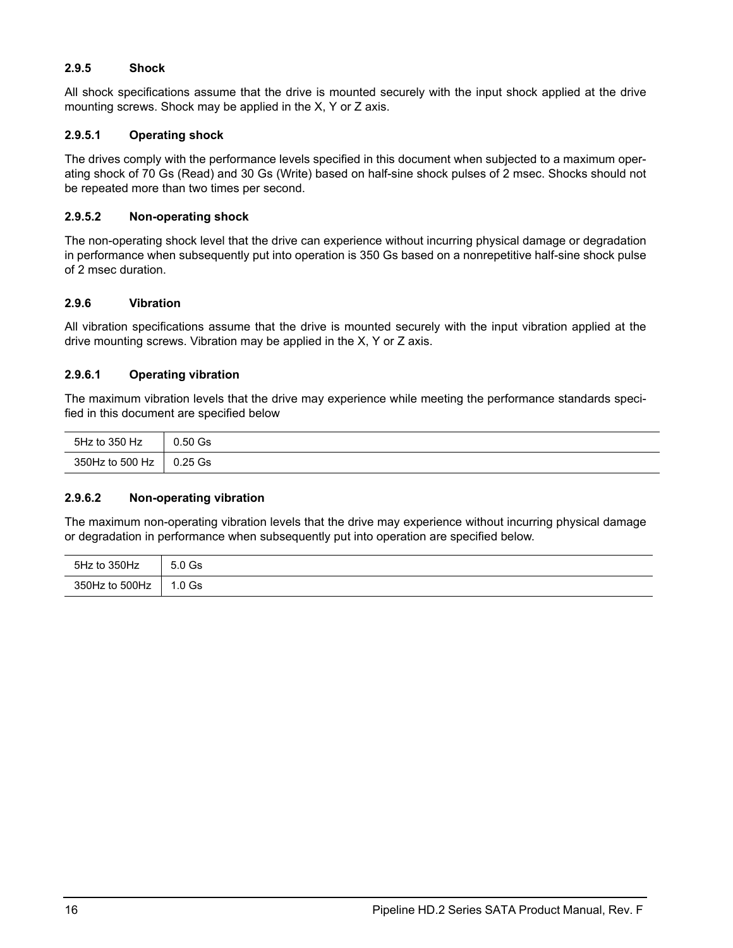### <span id="page-23-10"></span><span id="page-23-0"></span>**2.9.5 Shock**

<span id="page-23-9"></span><span id="page-23-4"></span>All shock specifications assume that the drive is mounted securely with the input shock applied at the drive mounting screws. Shock may be applied in the X, Y or Z axis.

### <span id="page-23-7"></span>**2.9.5.1 Operating shock**

The drives comply with the performance levels specified in this document when subjected to a maximum operating shock of 70 Gs (Read) and 30 Gs (Write) based on half-sine shock pulses of 2 msec. Shocks should not be repeated more than two times per second.

### <span id="page-23-5"></span>**2.9.5.2 Non-operating shock**

The non-operating shock level that the drive can experience without incurring physical damage or degradation in performance when subsequently put into operation is 350 Gs based on a nonrepetitive half-sine shock pulse of 2 msec duration.

### <span id="page-23-11"></span><span id="page-23-1"></span>**2.9.6 Vibration**

All vibration specifications assume that the drive is mounted securely with the input vibration applied at the drive mounting screws. Vibration may be applied in the X, Y or Z axis.

### <span id="page-23-8"></span>**2.9.6.1 Operating vibration**

The maximum vibration levels that the drive may experience while meeting the performance standards specified in this document are specified below

| 5Hz to 350 Hz   | $0.50$ Gs |
|-----------------|-----------|
| 350Hz to 500 Hz | $0.25$ Gs |

### <span id="page-23-6"></span>**2.9.6.2 Non-operating vibration**

The maximum non-operating vibration levels that the drive may experience without incurring physical damage or degradation in performance when subsequently put into operation are specified below.

<span id="page-23-3"></span><span id="page-23-2"></span>

| 5Hz to 350Hz   | 5.0 Gs   |
|----------------|----------|
| 350Hz to 500Hz | $1.0$ Gs |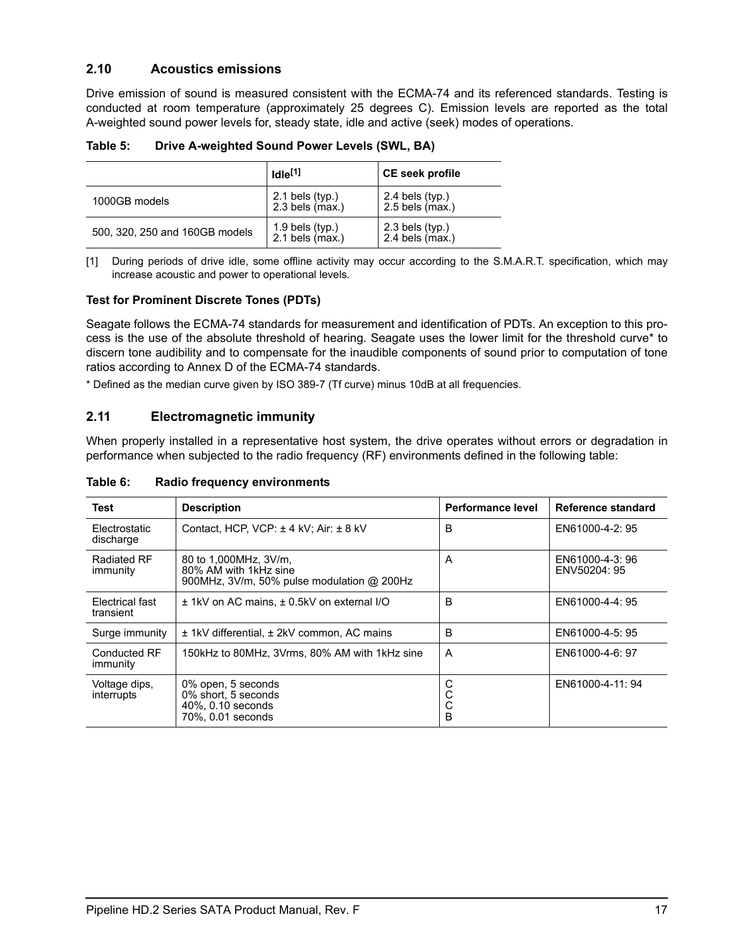## <span id="page-24-2"></span><span id="page-24-0"></span>**2.10 Acoustics emissions**

Drive emission of sound is measured consistent with the ECMA-74 and its referenced standards. Testing is conducted at room temperature (approximately 25 degrees C). Emission levels are reported as the total A-weighted sound power levels for, steady state, idle and active (seek) modes of operations.

|                                | Idle <sup>[1]</sup>                      | <b>CE seek profile</b>                         |
|--------------------------------|------------------------------------------|------------------------------------------------|
| 1000GB models                  | $2.1$ bels (typ.)<br>$2.3$ bels (max.)   | $2.4$ bels (typ.)<br>$2.5$ bels $\hat{m}$ ax.) |
| 500, 320, 250 and 160GB models | $1.9$ bels (typ.)<br>$2.1$ bels $(max.)$ | $2.3$ bels (typ.)<br>$2.4$ bels $(max.)$       |

**Table 5: Drive A-weighted Sound Power Levels (SWL, BA)**

[1] During periods of drive idle, some offline activity may occur according to the S.M.A.R.T. specification, which may increase acoustic and power to operational levels*.*

### <span id="page-24-7"></span>**Test for Prominent Discrete Tones (PDTs)**

Seagate follows the ECMA-74 standards for measurement and identification of PDTs. An exception to this process is the use of the absolute threshold of hearing. Seagate uses the lower limit for the threshold curve\* to discern tone audibility and to compensate for the inaudible components of sound prior to computation of tone ratios according to Annex D of the ECMA-74 standards.

\* Defined as the median curve given by ISO 389-7 (Tf curve) minus 10dB at all frequencies.

### <span id="page-24-5"></span><span id="page-24-1"></span>**2.11 Electromagnetic immunity**

<span id="page-24-9"></span>When properly installed in a representative host system, the drive operates without errors or degradation in performance when subjected to the radio frequency (RF) environments defined in the following table:

|  | Table 6: |  | Radio frequency environments |
|--|----------|--|------------------------------|
|--|----------|--|------------------------------|

<span id="page-24-11"></span><span id="page-24-10"></span><span id="page-24-8"></span><span id="page-24-6"></span><span id="page-24-4"></span><span id="page-24-3"></span>

| Test                         | <b>Description</b>                                                                           | Performance level | Reference standard             |
|------------------------------|----------------------------------------------------------------------------------------------|-------------------|--------------------------------|
| Electrostatic<br>discharge   | Contact, HCP, VCP: ± 4 kV; Air: ± 8 kV                                                       | B                 | EN61000-4-2: 95                |
| Radiated RF<br>immunity      | 80 to 1,000MHz, 3V/m,<br>80% AM with 1kHz sine<br>900MHz, 3V/m, 50% pulse modulation @ 200Hz | A                 | EN61000-4-3:96<br>ENV50204: 95 |
| Electrical fast<br>transient | ± 1kV on AC mains, ± 0.5kV on external I/O                                                   | B                 | EN61000-4-4: 95                |
| Surge immunity               | ± 1kV differential, ± 2kV common, AC mains                                                   | B                 | EN61000-4-5: 95                |
| Conducted RF<br>immunity     | 150kHz to 80MHz, 3Vrms, 80% AM with 1kHz sine                                                | A                 | EN61000-4-6: 97                |
| Voltage dips,<br>interrupts  | 0% open, 5 seconds<br>0% short, 5 seconds<br>40%, 0.10 seconds<br>70%, 0.01 seconds          | С<br>С<br>C<br>B  | EN61000-4-11: 94               |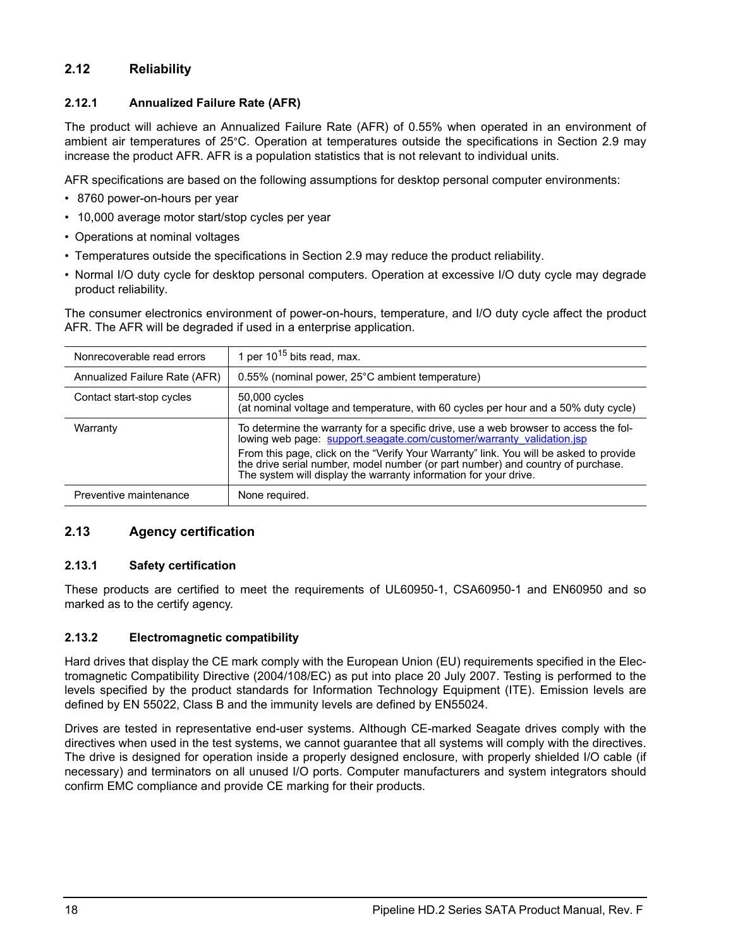## <span id="page-25-29"></span><span id="page-25-0"></span>**2.12 Reliability**

## <span id="page-25-5"></span><span id="page-25-1"></span>**2.12.1 Annualized Failure Rate (AFR)**

The product will achieve an Annualized Failure Rate (AFR) of 0.55% when operated in an environment of ambient air temperatures of 25°C. Operation at temperatures outside the specifications in [Section 2.9](#page-22-0) may increase the product AFR. AFR is a population statistics that is not relevant to individual units.

<span id="page-25-27"></span>AFR specifications are based on the following assumptions for desktop personal computer environments:

- 8760 power-on-hours per year
- 10,000 average motor start/stop cycles per year
- Operations at nominal voltages
- <span id="page-25-22"></span><span id="page-25-13"></span>• Temperatures outside the specifications in [Section 2.9](#page-22-0) may reduce the product reliability.
- Normal I/O duty cycle for desktop personal computers. Operation at excessive I/O duty cycle may degrade product reliability.

The consumer electronics environment of power-on-hours, temperature, and I/O duty cycle affect the product AFR. The AFR will be degraded if used in a enterprise application.

<span id="page-25-33"></span><span id="page-25-31"></span><span id="page-25-28"></span><span id="page-25-26"></span><span id="page-25-19"></span><span id="page-25-12"></span><span id="page-25-7"></span>

| Nonrecoverable read errors    | 1 per $10^{15}$ bits read, max.                                                                                                                                                                                                                                                                                                                                                                                |
|-------------------------------|----------------------------------------------------------------------------------------------------------------------------------------------------------------------------------------------------------------------------------------------------------------------------------------------------------------------------------------------------------------------------------------------------------------|
| Annualized Failure Rate (AFR) | 0.55% (nominal power, 25°C ambient temperature)                                                                                                                                                                                                                                                                                                                                                                |
| Contact start-stop cycles     | 50,000 cycles<br>(at nominal voltage and temperature, with 60 cycles per hour and a 50% duty cycle)                                                                                                                                                                                                                                                                                                            |
| Warranty                      | To determine the warranty for a specific drive, use a web browser to access the fol-<br>lowing web page: support.seagate.com/customer/warranty validation.jsp<br>From this page, click on the "Verify Your Warranty" link. You will be asked to provide<br>the drive serial number, model number (or part number) and country of purchase.<br>The system will display the warranty information for your drive. |
| Preventive maintenance        | None required.                                                                                                                                                                                                                                                                                                                                                                                                 |

## <span id="page-25-25"></span><span id="page-25-9"></span><span id="page-25-6"></span><span id="page-25-2"></span>**2.13 Agency certification**

### <span id="page-25-30"></span><span id="page-25-3"></span>**2.13.1 Safety certification**

<span id="page-25-32"></span><span id="page-25-18"></span><span id="page-25-11"></span>These products are certified to meet the requirements of UL60950-1, CSA60950-1 and EN60950 and so marked as to the certify agency.

### <span id="page-25-14"></span><span id="page-25-10"></span><span id="page-25-4"></span>**2.13.2 Electromagnetic compatibility**

<span id="page-25-24"></span><span id="page-25-23"></span><span id="page-25-21"></span><span id="page-25-20"></span><span id="page-25-17"></span><span id="page-25-16"></span><span id="page-25-15"></span><span id="page-25-8"></span>Hard drives that display the CE mark comply with the European Union (EU) requirements specified in the Electromagnetic Compatibility Directive (2004/108/EC) as put into place 20 July 2007. Testing is performed to the levels specified by the product standards for Information Technology Equipment (ITE). Emission levels are defined by EN 55022, Class B and the immunity levels are defined by EN55024.

Drives are tested in representative end-user systems. Although CE-marked Seagate drives comply with the directives when used in the test systems, we cannot guarantee that all systems will comply with the directives. The drive is designed for operation inside a properly designed enclosure, with properly shielded I/O cable (if necessary) and terminators on all unused I/O ports. Computer manufacturers and system integrators should confirm EMC compliance and provide CE marking for their products.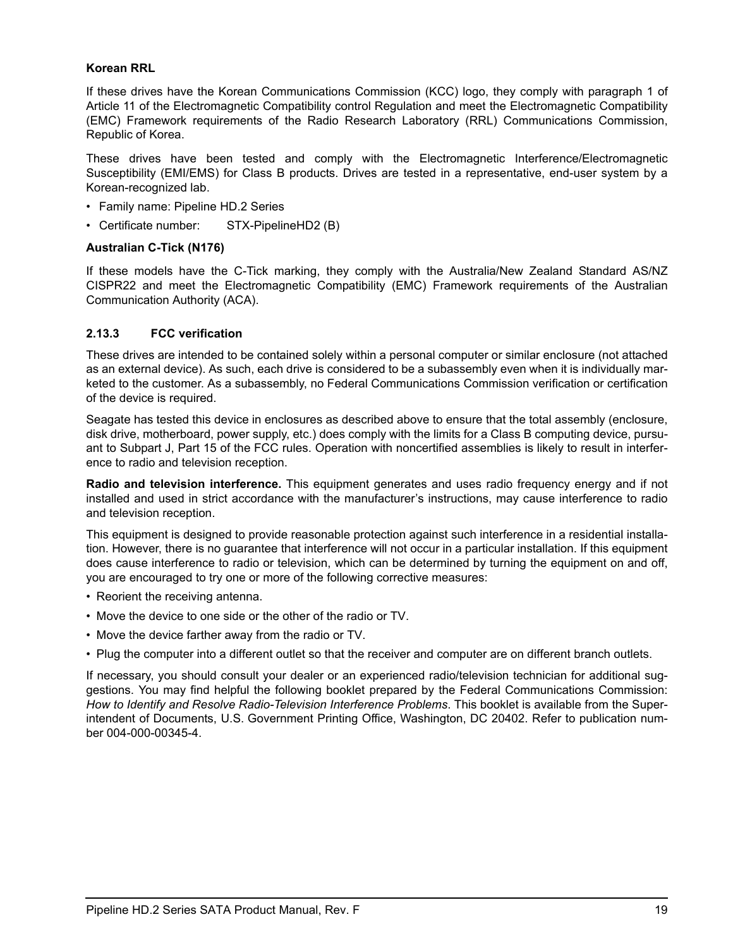### <span id="page-26-14"></span><span id="page-26-12"></span>**Korean RRL**

<span id="page-26-11"></span><span id="page-26-10"></span><span id="page-26-6"></span><span id="page-26-5"></span>If these drives have the Korean Communications Commission (KCC) logo, they comply with paragraph 1 of Article 11 of the Electromagnetic Compatibility control Regulation and meet the Electromagnetic Compatibility (EMC) Framework requirements of the Radio Research Laboratory (RRL) Communications Commission, Republic of Korea.

These drives have been tested and comply with the Electromagnetic Interference/Electromagnetic Susceptibility (EMI/EMS) for Class B products. Drives are tested in a representative, end-user system by a Korean-recognized lab.

- Family name: Pipeline HD.2 Series
- Certificate number: STX-PipelineHD2 (B)

#### <span id="page-26-4"></span>**Australian C-Tick (N176)**

<span id="page-26-3"></span><span id="page-26-2"></span><span id="page-26-1"></span>If these models have the C-Tick marking, they comply with the Australia/New Zealand Standard AS/NZ CISPR22 and meet the Electromagnetic Compatibility (EMC) Framework requirements of the Australian Communication Authority (ACA).

### <span id="page-26-8"></span><span id="page-26-0"></span>**2.13.3 FCC verification**

<span id="page-26-15"></span>These drives are intended to be contained solely within a personal computer or similar enclosure (not attached as an external device). As such, each drive is considered to be a subassembly even when it is individually marketed to the customer. As a subassembly, no Federal Communications Commission verification or certification of the device is required.

<span id="page-26-9"></span><span id="page-26-7"></span>Seagate has tested this device in enclosures as described above to ensure that the total assembly (enclosure, disk drive, motherboard, power supply, etc.) does comply with the limits for a Class B computing device, pursuant to Subpart J, Part 15 of the FCC rules. Operation with noncertified assemblies is likely to result in interference to radio and television reception.

<span id="page-26-13"></span>**Radio and television interference.** This equipment generates and uses radio frequency energy and if not installed and used in strict accordance with the manufacturer's instructions, may cause interference to radio and television reception.

This equipment is designed to provide reasonable protection against such interference in a residential installation. However, there is no guarantee that interference will not occur in a particular installation. If this equipment does cause interference to radio or television, which can be determined by turning the equipment on and off, you are encouraged to try one or more of the following corrective measures:

- Reorient the receiving antenna.
- Move the device to one side or the other of the radio or TV.
- Move the device farther away from the radio or TV.
- Plug the computer into a different outlet so that the receiver and computer are on different branch outlets.

If necessary, you should consult your dealer or an experienced radio/television technician for additional suggestions. You may find helpful the following booklet prepared by the Federal Communications Commission: *How to Identify and Resolve Radio-Television Interference Problems*. This booklet is available from the Superintendent of Documents, U.S. Government Printing Office, Washington, DC 20402. Refer to publication number 004-000-00345-4.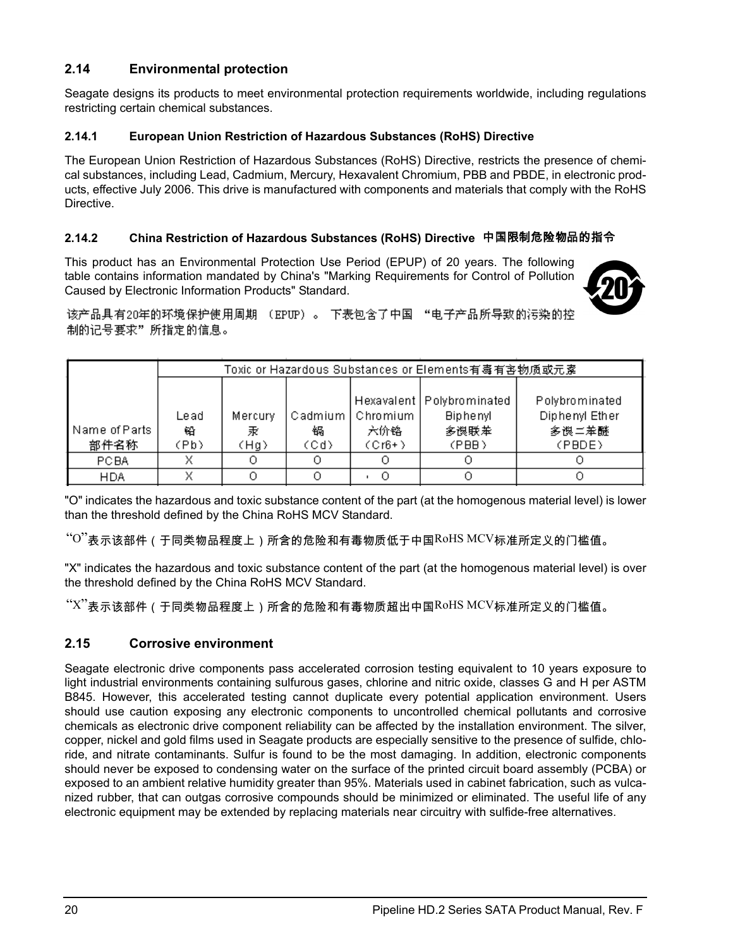## <span id="page-27-0"></span>**2.14 Environmental protection**

Seagate designs its products to meet environmental protection requirements worldwide, including regulations restricting certain chemical substances.

### <span id="page-27-6"></span><span id="page-27-1"></span>**2.14.1 European Union Restriction of Hazardous Substances (RoHS) Directive**

The European Union Restriction of Hazardous Substances (RoHS) Directive, restricts the presence of chemical substances, including Lead, Cadmium, Mercury, Hexavalent Chromium, PBB and PBDE, in electronic products, effective July 2006. This drive is manufactured with components and materials that comply with the RoHS Directive.

### <span id="page-27-4"></span><span id="page-27-2"></span>**2.14.2 China Restriction of Hazardous Substances (RoHS) Directive** 中国限制危险物品的指令

This product has an Environmental Protection Use Period (EPUP) of 20 years. The following table contains information mandated by China's "Marking Requirements for Control of Pollution Caused by Electronic Information Products" Standard.

<span id="page-27-7"></span>

该产品具有20年的环境保护使用周期 (EPUP)。 下表包含了中国 "电子产品所导致的污染的控 制的记号要求"所指定的信息。

|               |      | Toxic or Hazardous Substances or Elements有毒有害物质或元素 |      |                    |                             |                |
|---------------|------|----------------------------------------------------|------|--------------------|-----------------------------|----------------|
|               |      |                                                    |      |                    |                             |                |
|               |      |                                                    |      |                    | Hexavalent   Polybrominated | Polybrominated |
|               | Lead | Mercury                                            |      | Cadmium   Chromium | <b>Biphenyl</b>             | Diphenyl Ether |
| Name of Parts | 铅    | 汞                                                  | 锅    | 六价铬                | 多误联苯                        | 多误二苯醚          |
| 部件名称          | (Pb) | (Hg)                                               | (Cd) | $(Cr6+)$           | (PBB)                       | (PBDE)         |
| <b>PCBA</b>   | v    |                                                    |      |                    |                             |                |
| HDA           |      |                                                    |      |                    |                             |                |
|               |      |                                                    |      |                    |                             |                |

"O" indicates the hazardous and toxic substance content of the part (at the homogenous material level) is lower than the threshold defined by the China RoHS MCV Standard.

 $\rm ^{``O}$ "表示该部件(于同类物品程度上)所含的危险和有毒物质低于中国 $\rm ^{RoH S}$  MCV标准所定义的门槛值。

"X" indicates the hazardous and toxic substance content of the part (at the homogenous material level) is over the threshold defined by the China RoHS MCV Standard.

"X"表示该部件(于同类物品程度上)所含的危险和有毒物质超出中国RoHS MCV标准所定义的门槛值。

## <span id="page-27-5"></span><span id="page-27-3"></span>**2.15 Corrosive environment**

Seagate electronic drive components pass accelerated corrosion testing equivalent to 10 years exposure to light industrial environments containing sulfurous gases, chlorine and nitric oxide, classes G and H per ASTM B845. However, this accelerated testing cannot duplicate every potential application environment. Users should use caution exposing any electronic components to uncontrolled chemical pollutants and corrosive chemicals as electronic drive component reliability can be affected by the installation environment. The silver, copper, nickel and gold films used in Seagate products are especially sensitive to the presence of sulfide, chloride, and nitrate contaminants. Sulfur is found to be the most damaging. In addition, electronic components should never be exposed to condensing water on the surface of the printed circuit board assembly (PCBA) or exposed to an ambient relative humidity greater than 95%. Materials used in cabinet fabrication, such as vulcanized rubber, that can outgas corrosive compounds should be minimized or eliminated. The useful life of any electronic equipment may be extended by replacing materials near circuitry with sulfide-free alternatives.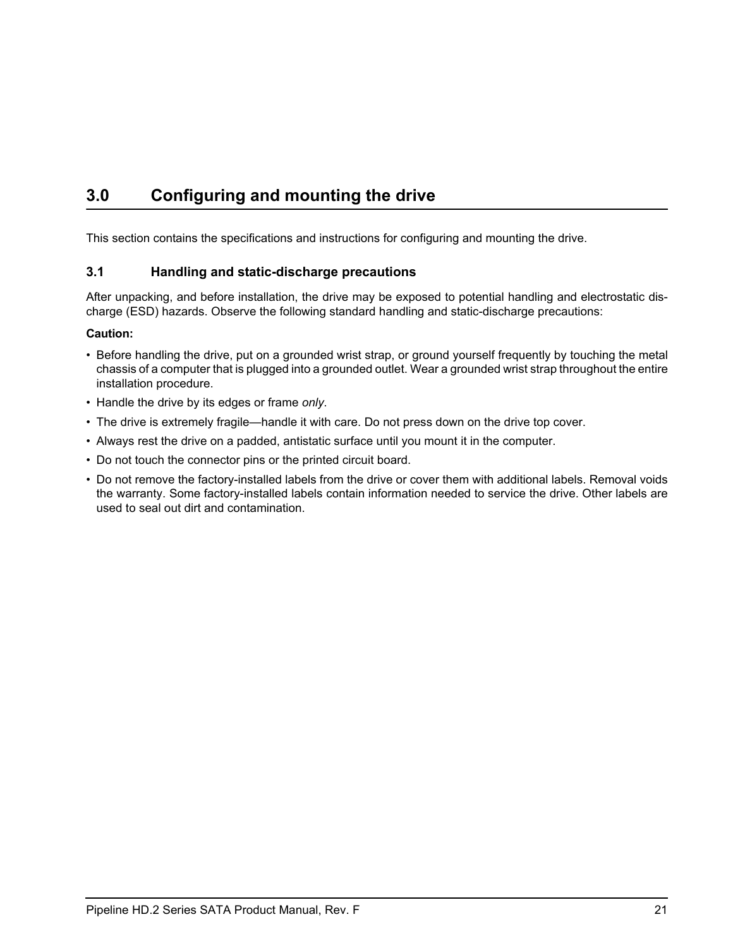## <span id="page-28-6"></span><span id="page-28-2"></span><span id="page-28-0"></span>**3.0 Configuring and mounting the drive**

This section contains the specifications and instructions for configuring and mounting the drive.

## <span id="page-28-9"></span><span id="page-28-7"></span><span id="page-28-5"></span><span id="page-28-1"></span>**3.1 Handling and static-discharge precautions**

<span id="page-28-4"></span><span id="page-28-3"></span>After unpacking, and before installation, the drive may be exposed to potential handling and electrostatic discharge (ESD) hazards. Observe the following standard handling and static-discharge precautions:

### **Caution:**

- Before handling the drive, put on a grounded wrist strap, or ground yourself frequently by touching the metal chassis of a computer that is plugged into a grounded outlet. Wear a grounded wrist strap throughout the entire installation procedure.
- Handle the drive by its edges or frame *only*.
- The drive is extremely fragile—handle it with care. Do not press down on the drive top cover.
- Always rest the drive on a padded, antistatic surface until you mount it in the computer.
- <span id="page-28-8"></span>• Do not touch the connector pins or the printed circuit board.
- Do not remove the factory-installed labels from the drive or cover them with additional labels. Removal voids the warranty. Some factory-installed labels contain information needed to service the drive. Other labels are used to seal out dirt and contamination.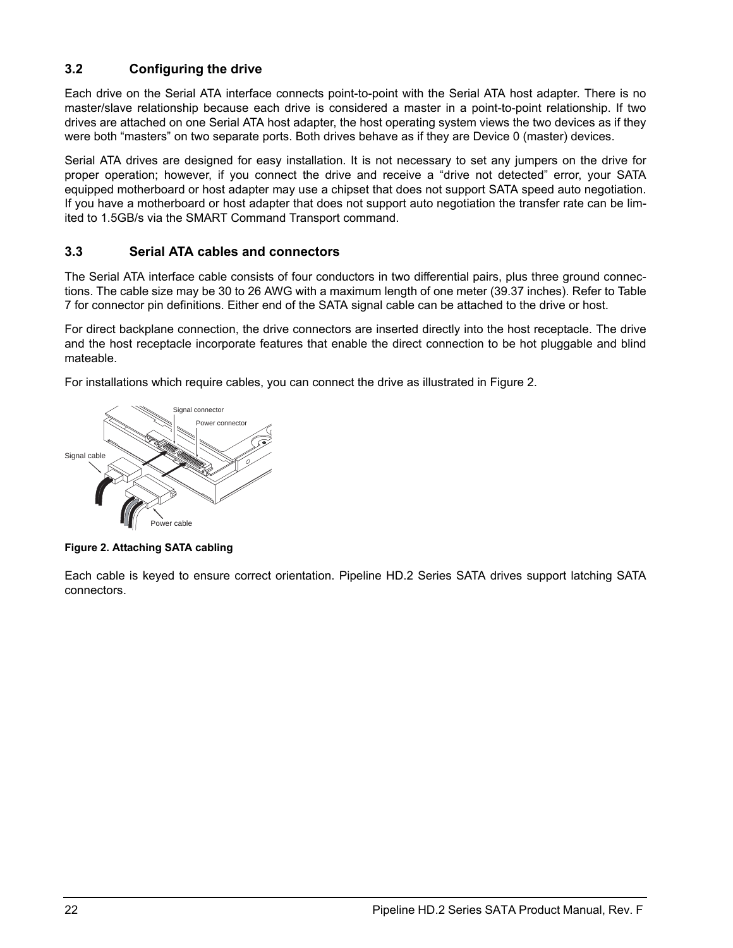## <span id="page-29-5"></span><span id="page-29-0"></span>**3.2 Configuring the drive**

Each drive on the Serial ATA interface connects point-to-point with the Serial ATA host adapter. There is no master/slave relationship because each drive is considered a master in a point-to-point relationship. If two drives are attached on one Serial ATA host adapter, the host operating system views the two devices as if they were both "masters" on two separate ports. Both drives behave as if they are Device 0 (master) devices.

Serial ATA drives are designed for easy installation. It is not necessary to set any jumpers on the drive for proper operation; however, if you connect the drive and receive a "drive not detected" error, your SATA equipped motherboard or host adapter may use a chipset that does not support SATA speed auto negotiation. If you have a motherboard or host adapter that does not support auto negotiation the transfer rate can be limited to 1.5GB/s via the SMART Command Transport command.

## <span id="page-29-4"></span><span id="page-29-3"></span><span id="page-29-1"></span>**3.3 Serial ATA cables and connectors**

The Serial ATA interface cable consists of four conductors in two differential pairs, plus three ground connections. The cable size may be 30 to 26 AWG with a maximum length of one meter (39.37 inches). Refer to [Table](#page-33-1) [7](#page-33-1) for connector pin definitions. Either end of the SATA signal cable can be attached to the drive or host.

For direct backplane connection, the drive connectors are inserted directly into the host receptacle. The drive and the host receptacle incorporate features that enable the direct connection to be hot pluggable and blind mateable.

For installations which require cables, you can connect the drive as illustrated in Figure [2](#page-29-2).



<span id="page-29-2"></span>**Figure 2. Attaching SATA cabling**

Each cable is keyed to ensure correct orientation. Pipeline HD.2 Series SATA drives support latching SATA connectors.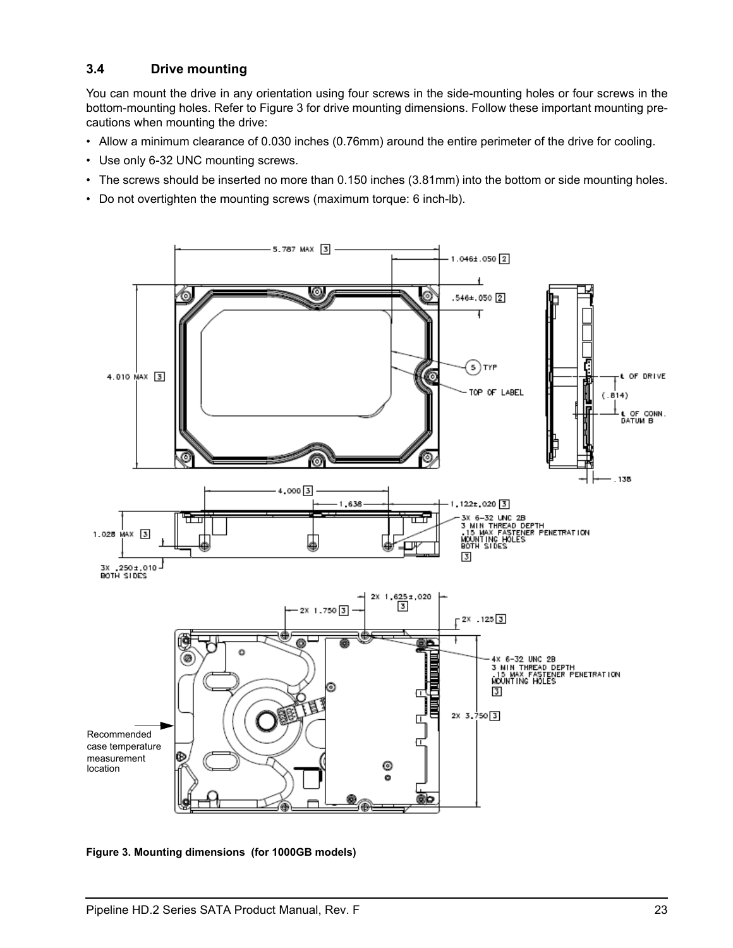## <span id="page-30-3"></span><span id="page-30-0"></span>**3.4 Drive mounting**

You can mount the drive in any orientation using four screws in the side-mounting holes or four screws in the bottom-mounting holes. Refer to Figure [3](#page-30-1) for drive mounting dimensions. Follow these important mounting precautions when mounting the drive:

- Allow a minimum clearance of 0.030 inches (0.76mm) around the entire perimeter of the drive for cooling.
- Use only 6-32 UNC mounting screws.
- The screws should be inserted no more than 0.150 inches (3.81mm) into the bottom or side mounting holes.
- Do not overtighten the mounting screws (maximum torque: 6 inch-lb).



<span id="page-30-2"></span><span id="page-30-1"></span>**Figure 3. Mounting dimensions (for 1000GB models)**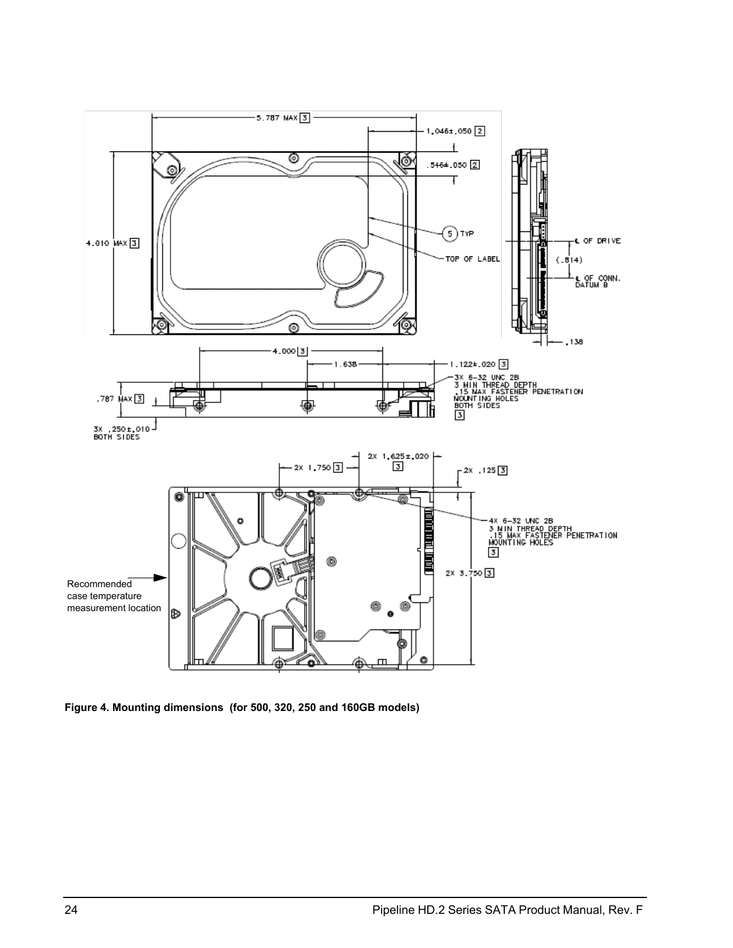

<span id="page-31-1"></span><span id="page-31-0"></span>**Figure 4. Mounting dimensions (for 500, 320, 250 and 160GB models)**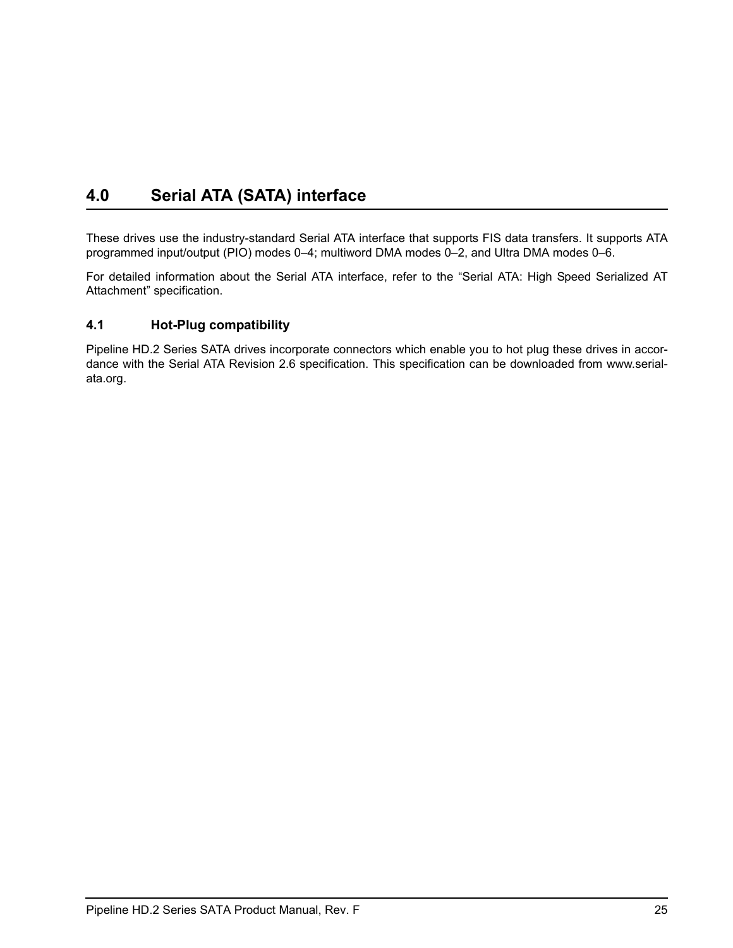## <span id="page-32-4"></span><span id="page-32-3"></span><span id="page-32-2"></span><span id="page-32-0"></span>**4.0 Serial ATA (SATA) interface**

These drives use the industry-standard Serial ATA interface that supports FIS data transfers. It supports ATA programmed input/output (PIO) modes 0–4; multiword DMA modes 0–2, and Ultra DMA modes 0–6.

For detailed information about the Serial ATA interface, refer to the "Serial ATA: High Speed Serialized AT Attachment" specification.

## <span id="page-32-1"></span>**4.1 Hot-Plug compatibility**

Pipeline HD.2 Series SATA drives incorporate connectors which enable you to hot plug these drives in accordance with the Serial ATA Revision 2.6 specification. This specification can be downloaded from www.serialata.org.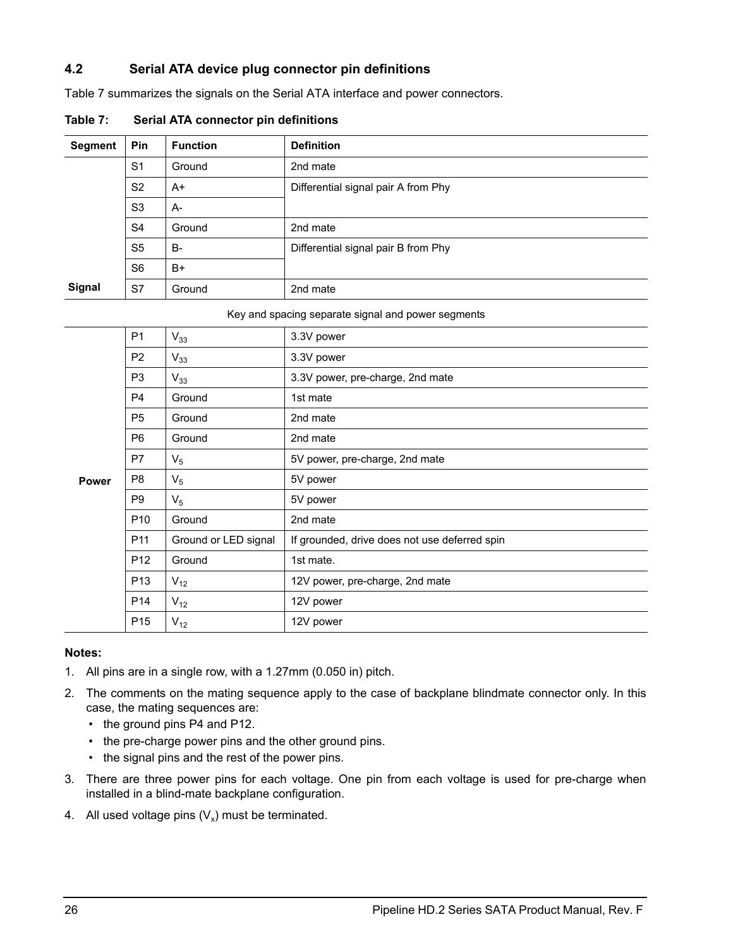## <span id="page-33-0"></span>**4.2 Serial ATA device plug connector pin definitions**

[Table 7](#page-33-1) summarizes the signals on the Serial ATA interface and power connectors.

| <b>Segment</b> | Pin            | <b>Function</b> | <b>Definition</b>                   |
|----------------|----------------|-----------------|-------------------------------------|
|                | S <sub>1</sub> | Ground          | 2nd mate                            |
|                | S <sub>2</sub> | A+              | Differential signal pair A from Phy |
|                | S <sub>3</sub> | $A-$            |                                     |
|                | S <sub>4</sub> | Ground          | 2nd mate                            |
|                | S <sub>5</sub> | <b>B-</b>       | Differential signal pair B from Phy |
|                | S <sub>6</sub> | $B+$            |                                     |
| Signal         | S7             | Ground          | 2nd mate                            |

<span id="page-33-1"></span>**Table 7: Serial ATA connector pin definitions**

#### Key and spacing separate signal and power segments

|       | P <sub>1</sub>  | $V_{33}$             | 3.3V power                                    |
|-------|-----------------|----------------------|-----------------------------------------------|
|       | P <sub>2</sub>  | $V_{33}$             | 3.3V power                                    |
|       | P <sub>3</sub>  | $V_{33}$             | 3.3V power, pre-charge, 2nd mate              |
|       | P <sub>4</sub>  | Ground               | 1st mate                                      |
|       | P <sub>5</sub>  | Ground               | 2nd mate                                      |
|       | P <sub>6</sub>  | Ground               | 2nd mate                                      |
|       | P7              | $V_5$                | 5V power, pre-charge, 2nd mate                |
| Power | P <sub>8</sub>  | $V_5$                | 5V power                                      |
|       | P <sub>9</sub>  | $V_5$                | 5V power                                      |
|       | P <sub>10</sub> | Ground               | 2nd mate                                      |
|       | P <sub>11</sub> | Ground or LED signal | If grounded, drive does not use deferred spin |
|       | P <sub>12</sub> | Ground               | 1st mate.                                     |
|       | P <sub>13</sub> | $V_{12}$             | 12V power, pre-charge, 2nd mate               |
|       | P <sub>14</sub> | $V_{12}$             | 12V power                                     |
|       | P <sub>15</sub> | $V_{12}$             | 12V power                                     |

#### **Notes:**

- 1. All pins are in a single row, with a 1.27mm (0.050 in) pitch.
- 2. The comments on the mating sequence apply to the case of backplane blindmate connector only. In this case, the mating sequences are:
	- the ground pins P4 and P12.
	- the pre-charge power pins and the other ground pins.
	- the signal pins and the rest of the power pins.
- 3. There are three power pins for each voltage. One pin from each voltage is used for pre-charge when installed in a blind-mate backplane configuration.
- 4. All used voltage pins  $(V_x)$  must be terminated.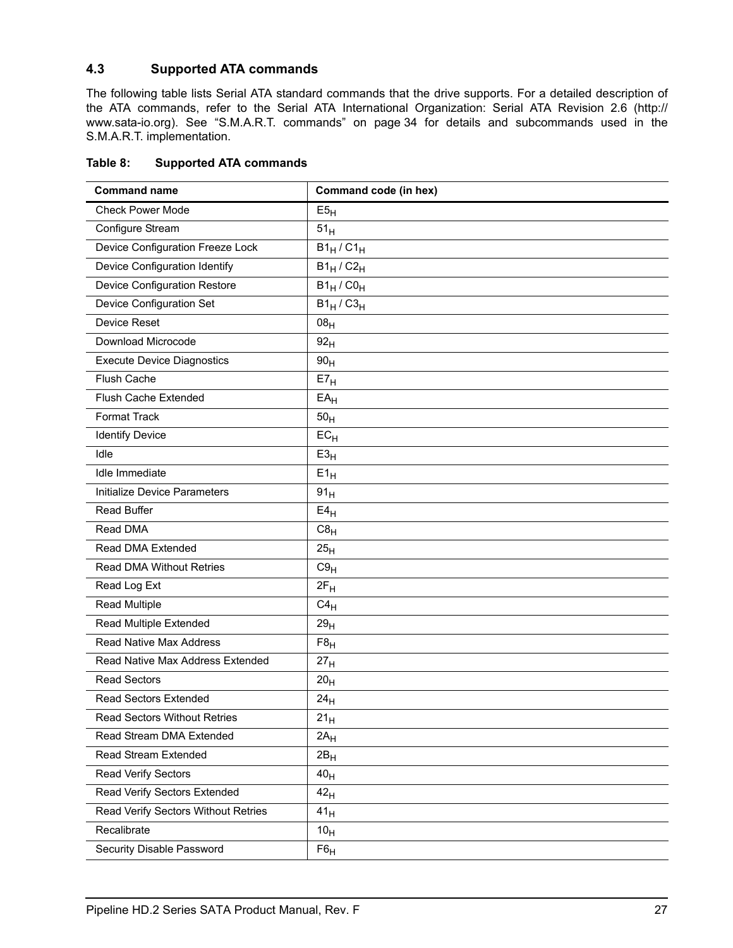## <span id="page-34-1"></span><span id="page-34-0"></span>**4.3 Supported ATA commands**

<span id="page-34-34"></span>The following table lists Serial ATA standard commands that the drive supports. For a detailed description of the ATA commands, refer to the Serial ATA International Organization: Serial ATA Revision 2.6 (http:// www.sata-io.org). [See "S.M.A.R.T. commands" on page 34 f](#page-41-0)or details and subcommands used in the S.M.A.R.T. implementation.

<span id="page-34-35"></span><span id="page-34-33"></span><span id="page-34-32"></span><span id="page-34-31"></span><span id="page-34-30"></span><span id="page-34-29"></span><span id="page-34-28"></span><span id="page-34-27"></span><span id="page-34-26"></span><span id="page-34-25"></span><span id="page-34-24"></span><span id="page-34-23"></span><span id="page-34-22"></span><span id="page-34-21"></span><span id="page-34-20"></span><span id="page-34-19"></span><span id="page-34-18"></span><span id="page-34-17"></span><span id="page-34-16"></span><span id="page-34-15"></span><span id="page-34-14"></span><span id="page-34-13"></span><span id="page-34-12"></span><span id="page-34-11"></span><span id="page-34-10"></span><span id="page-34-9"></span><span id="page-34-8"></span><span id="page-34-7"></span><span id="page-34-6"></span><span id="page-34-5"></span><span id="page-34-4"></span><span id="page-34-3"></span><span id="page-34-2"></span>

| <b>Command name</b>                 | Command code (in hex)                        |
|-------------------------------------|----------------------------------------------|
| <b>Check Power Mode</b>             | E5 <sub>H</sub>                              |
| Configure Stream                    | 51 <sub>H</sub>                              |
| Device Configuration Freeze Lock    | $B1_H$ / $C1_H$                              |
| Device Configuration Identify       | $\overline{B1}_{\text{H}}$ / $C2_{\text{H}}$ |
| Device Configuration Restore        | $B1_H / CO_H$                                |
| Device Configuration Set            | $B1_H$ / $C3_H$                              |
| Device Reset                        | 08 <sub>H</sub>                              |
| Download Microcode                  | 92 <sub>H</sub>                              |
| <b>Execute Device Diagnostics</b>   | 90 <sub>H</sub>                              |
| Flush Cache                         | E7 <sub>H</sub>                              |
| Flush Cache Extended                | $EA$ H                                       |
| Format Track                        | 50 <sub>H</sub>                              |
| <b>Identify Device</b>              | $EC_{H}$                                     |
| Idle                                | E3 <sub>H</sub>                              |
| Idle Immediate                      | $E1_H$                                       |
| Initialize Device Parameters        | 91 <sub>H</sub>                              |
| <b>Read Buffer</b>                  | $E4_H$                                       |
| Read DMA                            | $C8_H$                                       |
| Read DMA Extended                   | 25 <sub>H</sub>                              |
| Read DMA Without Retries            | C9 <sub>H</sub>                              |
| Read Log Ext                        | $2F_H$                                       |
| <b>Read Multiple</b>                | $C4_H$                                       |
| Read Multiple Extended              | 29 <sub>H</sub>                              |
| Read Native Max Address             | F8 <sub>H</sub>                              |
| Read Native Max Address Extended    | 27 <sub>H</sub>                              |
| <b>Read Sectors</b>                 | 20 <sub>H</sub>                              |
| Read Sectors Extended               | 24 <sub>H</sub>                              |
| Read Sectors Without Retries        | $21_H$                                       |
| Read Stream DMA Extended            | $2A_H$                                       |
| Read Stream Extended                | $2B_H$                                       |
| Read Verify Sectors                 | 40 <sub>H</sub>                              |
| Read Verify Sectors Extended        | 42 <sub>H</sub>                              |
| Read Verify Sectors Without Retries | 41 <sub>H</sub>                              |
| Recalibrate                         | 10 <sub>H</sub>                              |
| Security Disable Password           | $F6_H$                                       |

### **Table 8: Supported ATA commands**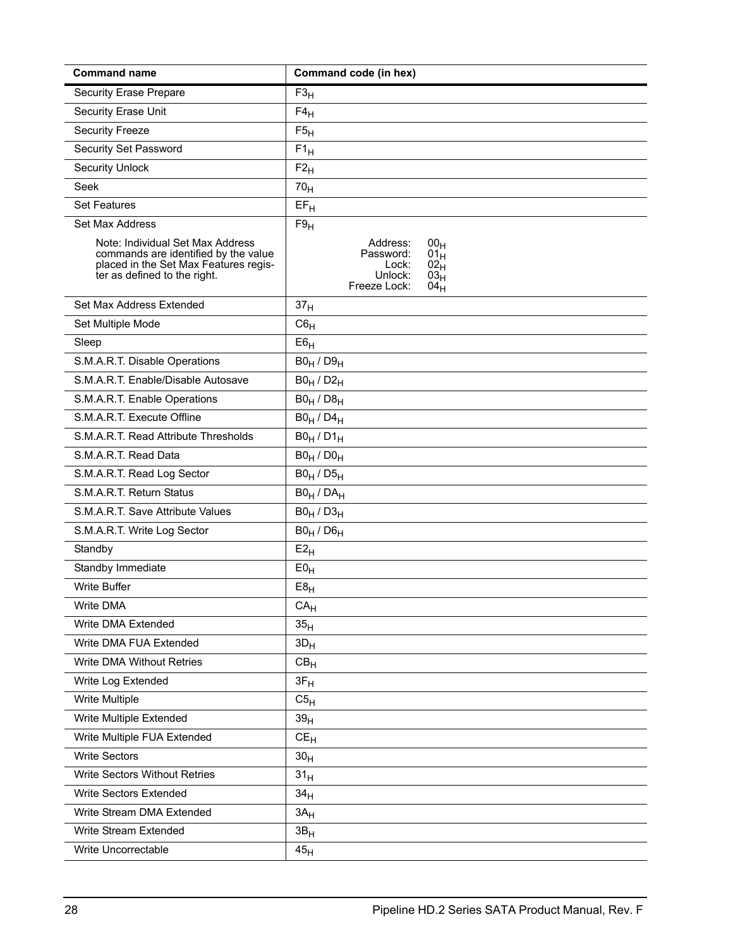<span id="page-35-35"></span><span id="page-35-34"></span><span id="page-35-33"></span><span id="page-35-32"></span><span id="page-35-31"></span><span id="page-35-30"></span><span id="page-35-29"></span><span id="page-35-28"></span><span id="page-35-27"></span><span id="page-35-26"></span><span id="page-35-25"></span><span id="page-35-24"></span><span id="page-35-23"></span><span id="page-35-22"></span><span id="page-35-21"></span><span id="page-35-20"></span><span id="page-35-19"></span><span id="page-35-18"></span><span id="page-35-17"></span><span id="page-35-16"></span><span id="page-35-15"></span><span id="page-35-14"></span><span id="page-35-13"></span><span id="page-35-12"></span><span id="page-35-11"></span><span id="page-35-10"></span><span id="page-35-9"></span><span id="page-35-8"></span><span id="page-35-7"></span><span id="page-35-6"></span><span id="page-35-5"></span><span id="page-35-4"></span><span id="page-35-3"></span><span id="page-35-2"></span><span id="page-35-1"></span><span id="page-35-0"></span>

| <b>Command name</b>                                                                                                                               | Command code (in hex)                                                                                                                                    |
|---------------------------------------------------------------------------------------------------------------------------------------------------|----------------------------------------------------------------------------------------------------------------------------------------------------------|
| <b>Security Erase Prepare</b>                                                                                                                     | F3 <sub>H</sub>                                                                                                                                          |
| Security Erase Unit                                                                                                                               | $F4_H$                                                                                                                                                   |
| <b>Security Freeze</b>                                                                                                                            | F5 <sub>H</sub>                                                                                                                                          |
| Security Set Password                                                                                                                             | $F1_H$                                                                                                                                                   |
| <b>Security Unlock</b>                                                                                                                            | $F2_H$                                                                                                                                                   |
| Seek                                                                                                                                              | 70 <sub>H</sub>                                                                                                                                          |
| <b>Set Features</b>                                                                                                                               | $EF_H$                                                                                                                                                   |
| Set Max Address                                                                                                                                   | F9 <sub>H</sub>                                                                                                                                          |
| Note: Individual Set Max Address<br>commands are identified by the value<br>placed in the Set Max Features regis-<br>ter as defined to the right. | Address:<br>00 <sub>H</sub><br>Password:<br>01 <sub>H</sub><br>02 <sub>H</sub><br>Lock:<br>Unlock:<br>03 <sub>H</sub><br>Freeze Lock:<br>04 <sub>H</sub> |
| Set Max Address Extended                                                                                                                          | 37 <sub>H</sub>                                                                                                                                          |
| Set Multiple Mode                                                                                                                                 | $C6_H$                                                                                                                                                   |
| Sleep                                                                                                                                             | E6 <sub>H</sub>                                                                                                                                          |
| S.M.A.R.T. Disable Operations                                                                                                                     | $B0_H / D9_H$                                                                                                                                            |
| S.M.A.R.T. Enable/Disable Autosave                                                                                                                | $B0_H / D2_H$                                                                                                                                            |
| S.M.A.R.T. Enable Operations                                                                                                                      | $B0_H / D8_H$                                                                                                                                            |
| S.M.A.R.T. Execute Offline                                                                                                                        | $B0_H / D4_H$                                                                                                                                            |
| S.M.A.R.T. Read Attribute Thresholds                                                                                                              | $B0_H / D1_H$                                                                                                                                            |
| S.M.A.R.T. Read Data                                                                                                                              | $B0_H / D0_H$                                                                                                                                            |
| S.M.A.R.T. Read Log Sector                                                                                                                        | $B0_H / D5_H$                                                                                                                                            |
| S.M.A.R.T. Return Status                                                                                                                          | $B0_H / DA_H$                                                                                                                                            |
| S.M.A.R.T. Save Attribute Values                                                                                                                  | $B0_H / D3_H$                                                                                                                                            |
| S.M.A.R.T. Write Log Sector                                                                                                                       | $B0_H / D6_H$                                                                                                                                            |
| Standby                                                                                                                                           | $E2_H$                                                                                                                                                   |
| Standby Immediate                                                                                                                                 | $E0_H$                                                                                                                                                   |
| Write Buffer                                                                                                                                      | $E8_H$                                                                                                                                                   |
| Write DMA                                                                                                                                         | CA <sub>H</sub>                                                                                                                                          |
| Write DMA Extended                                                                                                                                | 35 <sub>H</sub>                                                                                                                                          |
| Write DMA FUA Extended                                                                                                                            | $3D_H$                                                                                                                                                   |
| <b>Write DMA Without Retries</b>                                                                                                                  | $CB_{H}$                                                                                                                                                 |
| Write Log Extended                                                                                                                                | $3F_H$                                                                                                                                                   |
| Write Multiple                                                                                                                                    | C5 <sub>H</sub>                                                                                                                                          |
| Write Multiple Extended                                                                                                                           | 39 <sub>H</sub>                                                                                                                                          |
| Write Multiple FUA Extended                                                                                                                       | $CE_{H}$                                                                                                                                                 |
| <b>Write Sectors</b>                                                                                                                              | 30 <sub>H</sub>                                                                                                                                          |
| Write Sectors Without Retries                                                                                                                     | 31 <sub>H</sub>                                                                                                                                          |
| <b>Write Sectors Extended</b>                                                                                                                     | 34 <sub>H</sub>                                                                                                                                          |
| Write Stream DMA Extended                                                                                                                         | $3A_H$                                                                                                                                                   |
| Write Stream Extended                                                                                                                             | 3B <sub>H</sub>                                                                                                                                          |
| Write Uncorrectable                                                                                                                               | 45 <sub>H</sub>                                                                                                                                          |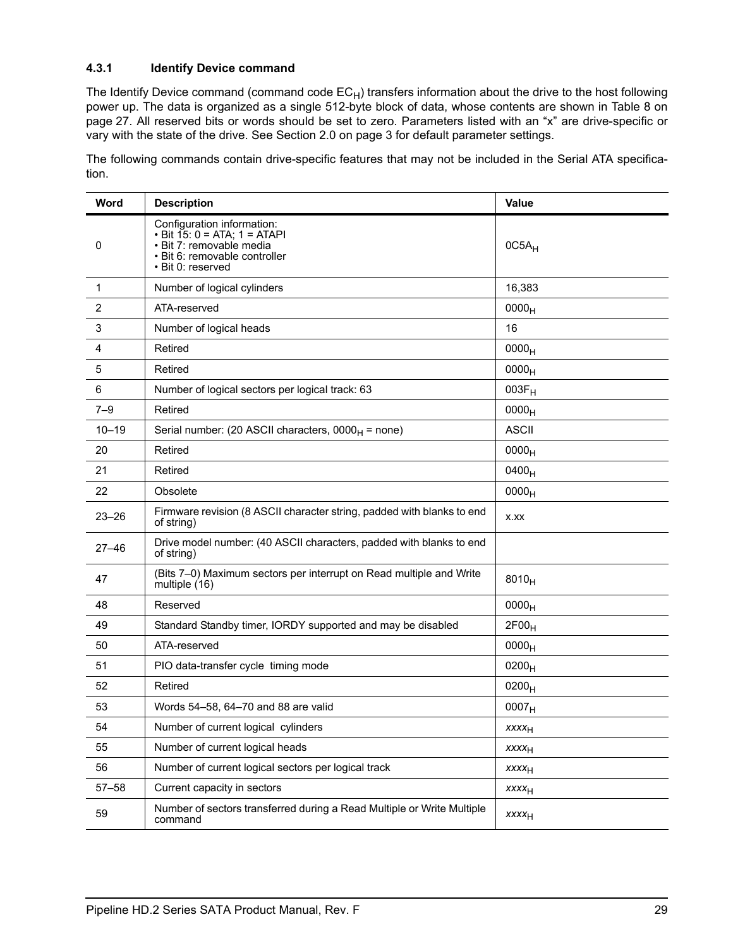## <span id="page-36-1"></span><span id="page-36-0"></span>**4.3.1 Identify Device command**

The Identify Device command (command code  $EC_H$ ) transfers information about the drive to the host following power up. The data is organized as a single 512-byte block of data, whose contents are shown in Table 8 on page 27. All reserved bits or words should be set to zero. Parameters listed with an "x" are drive-specific or vary with the state of the drive. [See Section 2.0 on page 3 f](#page-10-0)or default parameter settings.

The following commands contain drive-specific features that may not be included in the Serial ATA specification.

| Word           | <b>Description</b>                                                                                                                           | Value                   |
|----------------|----------------------------------------------------------------------------------------------------------------------------------------------|-------------------------|
| 0              | Configuration information:<br>• Bit 15: 0 = ATA; 1 = ATAPI<br>· Bit 7: removable media<br>· Bit 6: removable controller<br>· Bit 0: reserved | $0C5A_H$                |
| $\mathbf{1}$   | Number of logical cylinders                                                                                                                  | 16,383                  |
| $\overline{2}$ | ATA-reserved                                                                                                                                 | 0000 <sub>H</sub>       |
| 3              | Number of logical heads                                                                                                                      | 16                      |
| $\overline{4}$ | Retired                                                                                                                                      | 0000 <sub>H</sub>       |
| 5              | Retired                                                                                                                                      | 0000 <sub>H</sub>       |
| 6              | Number of logical sectors per logical track: 63                                                                                              | $003F_H$                |
| $7 - 9$        | Retired                                                                                                                                      | 0000 <sub>H</sub>       |
| $10 - 19$      | Serial number: (20 ASCII characters, $0000_H$ = none)                                                                                        | <b>ASCII</b>            |
| 20             | Retired                                                                                                                                      | 0000 <sub>H</sub>       |
| 21             | Retired                                                                                                                                      | $0400_H$                |
| 22             | Obsolete                                                                                                                                     | 0000 <sub>H</sub>       |
| $23 - 26$      | Firmware revision (8 ASCII character string, padded with blanks to end<br>of string)                                                         | X.XX                    |
| $27 - 46$      | Drive model number: (40 ASCII characters, padded with blanks to end<br>of string)                                                            |                         |
| 47             | (Bits 7-0) Maximum sectors per interrupt on Read multiple and Write<br>multiple (16)                                                         | $8010_H$                |
| 48             | Reserved                                                                                                                                     | 0000 <sub>H</sub>       |
| 49             | Standard Standby timer, IORDY supported and may be disabled                                                                                  | 2F00 <sub>H</sub>       |
| 50             | ATA-reserved                                                                                                                                 | 0000 <sub>H</sub>       |
| 51             | PIO data-transfer cycle timing mode                                                                                                          | $0200_H$                |
| 52             | Retired                                                                                                                                      | $0200_H$                |
| 53             | Words 54-58, 64-70 and 88 are valid                                                                                                          | 0007 <sub>H</sub>       |
| 54             | Number of current logical cylinders                                                                                                          | $xxxx_H$                |
| 55             | Number of current logical heads                                                                                                              | <b>XXXX<sub>H</sub></b> |
| 56             | Number of current logical sectors per logical track                                                                                          | <b>XXXX<sub>H</sub></b> |
| $57 - 58$      | Current capacity in sectors                                                                                                                  | <b>XXXX<sub>H</sub></b> |
| 59             | Number of sectors transferred during a Read Multiple or Write Multiple<br>command                                                            | <b>XXXX<sub>H</sub></b> |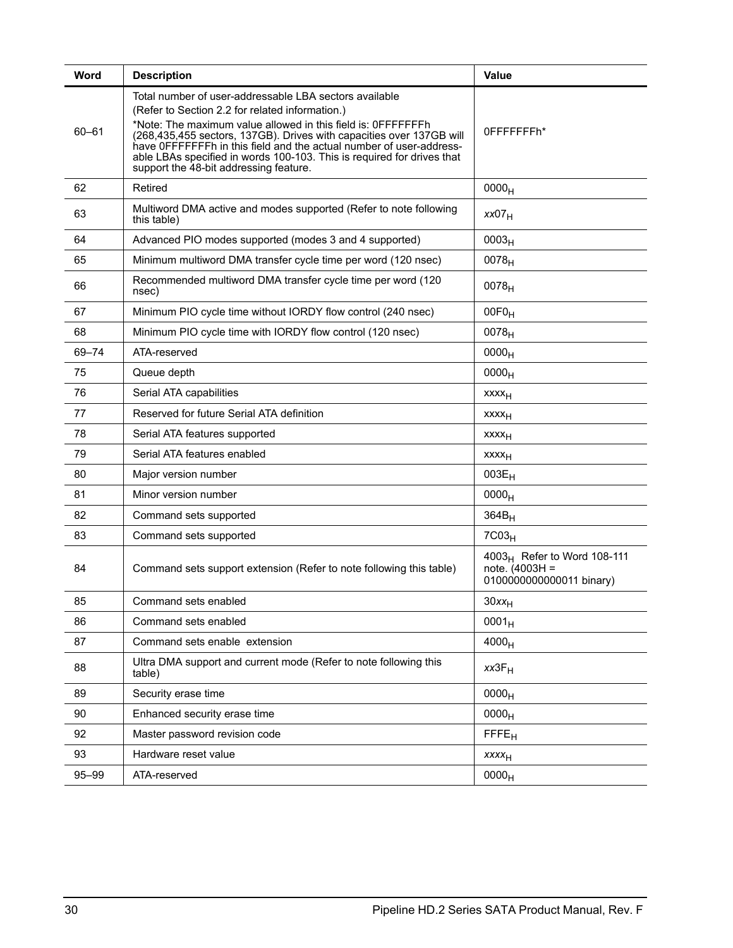| Word      | <b>Description</b>                                                                                                                                                                                                                                                                                                                                                                                                                           | Value                                                                          |
|-----------|----------------------------------------------------------------------------------------------------------------------------------------------------------------------------------------------------------------------------------------------------------------------------------------------------------------------------------------------------------------------------------------------------------------------------------------------|--------------------------------------------------------------------------------|
| $60 - 61$ | Total number of user-addressable LBA sectors available<br>(Refer to Section 2.2 for related information.)<br>*Note: The maximum value allowed in this field is: OFFFFFFFh<br>(268,435,455 sectors, 137GB). Drives with capacities over 137GB will<br>have OFFFFFFFh in this field and the actual number of user-address-<br>able LBAs specified in words 100-103. This is required for drives that<br>support the 48-bit addressing feature. | 0FFFFFFFFh*                                                                    |
| 62        | Retired                                                                                                                                                                                                                                                                                                                                                                                                                                      | 0000 <sub>H</sub>                                                              |
| 63        | Multiword DMA active and modes supported (Refer to note following<br>this table)                                                                                                                                                                                                                                                                                                                                                             | xx07 <sub>H</sub>                                                              |
| 64        | Advanced PIO modes supported (modes 3 and 4 supported)                                                                                                                                                                                                                                                                                                                                                                                       | 0003 <sub>H</sub>                                                              |
| 65        | Minimum multiword DMA transfer cycle time per word (120 nsec)                                                                                                                                                                                                                                                                                                                                                                                | $0078_H$                                                                       |
| 66        | Recommended multiword DMA transfer cycle time per word (120<br>nsec)                                                                                                                                                                                                                                                                                                                                                                         | $0078_H$                                                                       |
| 67        | Minimum PIO cycle time without IORDY flow control (240 nsec)                                                                                                                                                                                                                                                                                                                                                                                 | $00F0_H$                                                                       |
| 68        | Minimum PIO cycle time with IORDY flow control (120 nsec)                                                                                                                                                                                                                                                                                                                                                                                    | $0078_H$                                                                       |
| 69-74     | ATA-reserved                                                                                                                                                                                                                                                                                                                                                                                                                                 | 0000 <sub>H</sub>                                                              |
| 75        | Queue depth                                                                                                                                                                                                                                                                                                                                                                                                                                  | 0000 <sub>H</sub>                                                              |
| 76        | Serial ATA capabilities                                                                                                                                                                                                                                                                                                                                                                                                                      | xxxx <sub>H</sub>                                                              |
| 77        | Reserved for future Serial ATA definition                                                                                                                                                                                                                                                                                                                                                                                                    | xxxx <sub>H</sub>                                                              |
| 78        | Serial ATA features supported                                                                                                                                                                                                                                                                                                                                                                                                                | XXXH                                                                           |
| 79        | Serial ATA features enabled                                                                                                                                                                                                                                                                                                                                                                                                                  | <b>XXXX<sub>H</sub></b>                                                        |
| 80        | Major version number                                                                                                                                                                                                                                                                                                                                                                                                                         | $003E_H$                                                                       |
| 81        | Minor version number                                                                                                                                                                                                                                                                                                                                                                                                                         | 0000 <sub>H</sub>                                                              |
| 82        | Command sets supported                                                                                                                                                                                                                                                                                                                                                                                                                       | $364B_H$                                                                       |
| 83        | Command sets supported                                                                                                                                                                                                                                                                                                                                                                                                                       | 7C03 <sub>H</sub>                                                              |
| 84        | Command sets support extension (Refer to note following this table)                                                                                                                                                                                                                                                                                                                                                                          | $4003_H$ Refer to Word 108-111<br>$note. (4003H =$<br>0100000000000011 binary) |
| 85        | Command sets enabled                                                                                                                                                                                                                                                                                                                                                                                                                         | $30xx_H$                                                                       |
| 86        | Command sets enabled                                                                                                                                                                                                                                                                                                                                                                                                                         | $0001_H$                                                                       |
| 87        | Command sets enable extension                                                                                                                                                                                                                                                                                                                                                                                                                | 4000 <sub>H</sub>                                                              |
| 88        | Ultra DMA support and current mode (Refer to note following this<br>table)                                                                                                                                                                                                                                                                                                                                                                   | $xx3F_H$                                                                       |
| 89        | Security erase time                                                                                                                                                                                                                                                                                                                                                                                                                          | 0000 <sub>H</sub>                                                              |
| 90        | Enhanced security erase time                                                                                                                                                                                                                                                                                                                                                                                                                 | 0000 <sub>H</sub>                                                              |
| 92        | Master password revision code                                                                                                                                                                                                                                                                                                                                                                                                                | <b>FFFE<sub>H</sub></b>                                                        |
| 93        | Hardware reset value                                                                                                                                                                                                                                                                                                                                                                                                                         | <b>XXXXH</b>                                                                   |
| 95-99     | ATA-reserved                                                                                                                                                                                                                                                                                                                                                                                                                                 | 0000 <sub>H</sub>                                                              |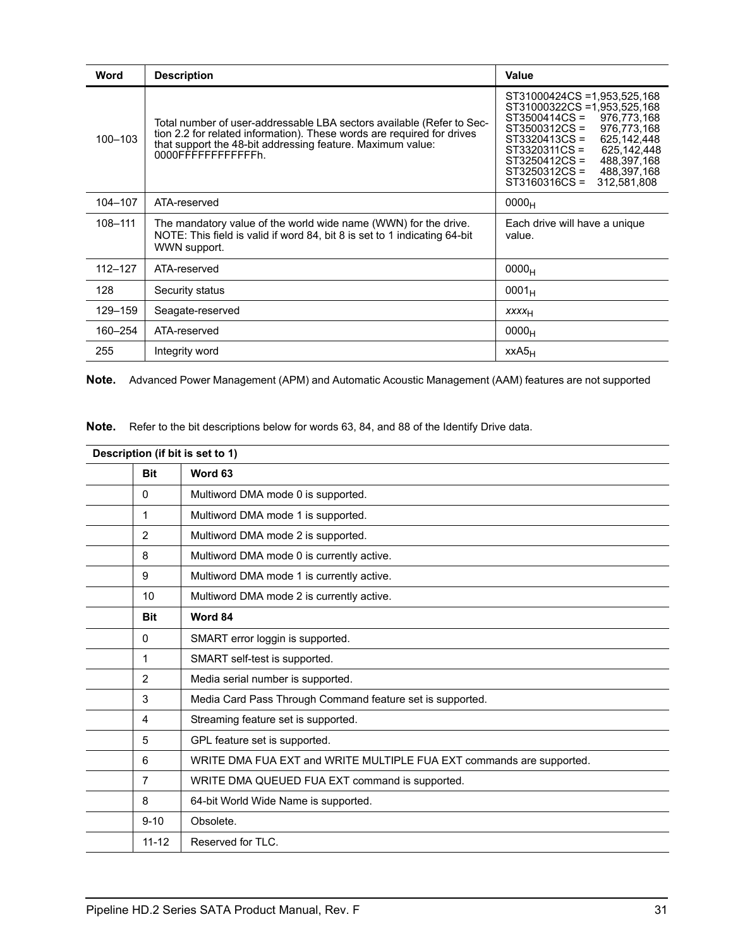| Word        | <b>Description</b>                                                                                                                                                                                                                   | <b>Value</b>                                                                                                                                                                                                                                                                                  |
|-------------|--------------------------------------------------------------------------------------------------------------------------------------------------------------------------------------------------------------------------------------|-----------------------------------------------------------------------------------------------------------------------------------------------------------------------------------------------------------------------------------------------------------------------------------------------|
| 100-103     | Total number of user-addressable LBA sectors available (Refer to Sec-<br>tion 2.2 for related information). These words are required for drives<br>that support the 48-bit addressing feature. Maximum value:<br>0000FFFFFFFFFFFFFh. | ST31000424CS = 1,953,525,168<br>ST31000322CS =1,953,525,168<br>ST3500414CS =<br>976.773.168<br>ST3500312CS =<br>976.773.168<br>625.142.448<br>ST3320413CS =<br>625,142,448<br>ST3320311CS =<br>$ST3250412CS =$<br>488,397,168<br>ST3250312CS =<br>488,397,168<br>ST3160316CS =<br>312,581,808 |
| 104-107     | ATA-reserved                                                                                                                                                                                                                         | 0000 <sub>H</sub>                                                                                                                                                                                                                                                                             |
| 108-111     | The mandatory value of the world wide name (WWN) for the drive.<br>NOTE: This field is valid if word 84, bit 8 is set to 1 indicating 64-bit<br>WWN support.                                                                         | Each drive will have a unique<br>value.                                                                                                                                                                                                                                                       |
| $112 - 127$ | ATA-reserved                                                                                                                                                                                                                         | 0000 <sub>H</sub>                                                                                                                                                                                                                                                                             |
| 128         | Security status                                                                                                                                                                                                                      | $0001_H$                                                                                                                                                                                                                                                                                      |
| 129-159     | Seagate-reserved                                                                                                                                                                                                                     | <b>XXXX</b> <sub>H</sub>                                                                                                                                                                                                                                                                      |
| 160-254     | ATA-reserved                                                                                                                                                                                                                         | 0000 <sub>H</sub>                                                                                                                                                                                                                                                                             |
| 255         | Integrity word                                                                                                                                                                                                                       | XXAS <sub>H</sub>                                                                                                                                                                                                                                                                             |

**Note.** Advanced Power Management (APM) and Automatic Acoustic Management (AAM) features are not supported

**Note.** Refer to the bit descriptions below for words 63, 84, and 88 of the Identify Drive data.

| Description (if bit is set to 1) |                                                                      |  |
|----------------------------------|----------------------------------------------------------------------|--|
| <b>Bit</b>                       | Word 63                                                              |  |
| $\mathbf{0}$                     | Multiword DMA mode 0 is supported.                                   |  |
| 1                                | Multiword DMA mode 1 is supported.                                   |  |
| 2                                | Multiword DMA mode 2 is supported.                                   |  |
| 8                                | Multiword DMA mode 0 is currently active.                            |  |
| 9                                | Multiword DMA mode 1 is currently active.                            |  |
| 10                               | Multiword DMA mode 2 is currently active.                            |  |
| <b>Bit</b>                       | Word 84                                                              |  |
| $\mathbf{0}$                     | SMART error loggin is supported.                                     |  |
| 1                                | SMART self-test is supported.                                        |  |
| $\overline{2}$                   | Media serial number is supported.                                    |  |
| 3                                | Media Card Pass Through Command feature set is supported.            |  |
| 4                                | Streaming feature set is supported.                                  |  |
| 5                                | GPL feature set is supported.                                        |  |
| 6                                | WRITE DMA FUA EXT and WRITE MULTIPLE FUA EXT commands are supported. |  |
| $\overline{7}$                   | WRITE DMA QUEUED FUA EXT command is supported.                       |  |
| 8                                | 64-bit World Wide Name is supported.                                 |  |
| $9 - 10$                         | Obsolete.                                                            |  |
| $11 - 12$                        | Reserved for TLC.                                                    |  |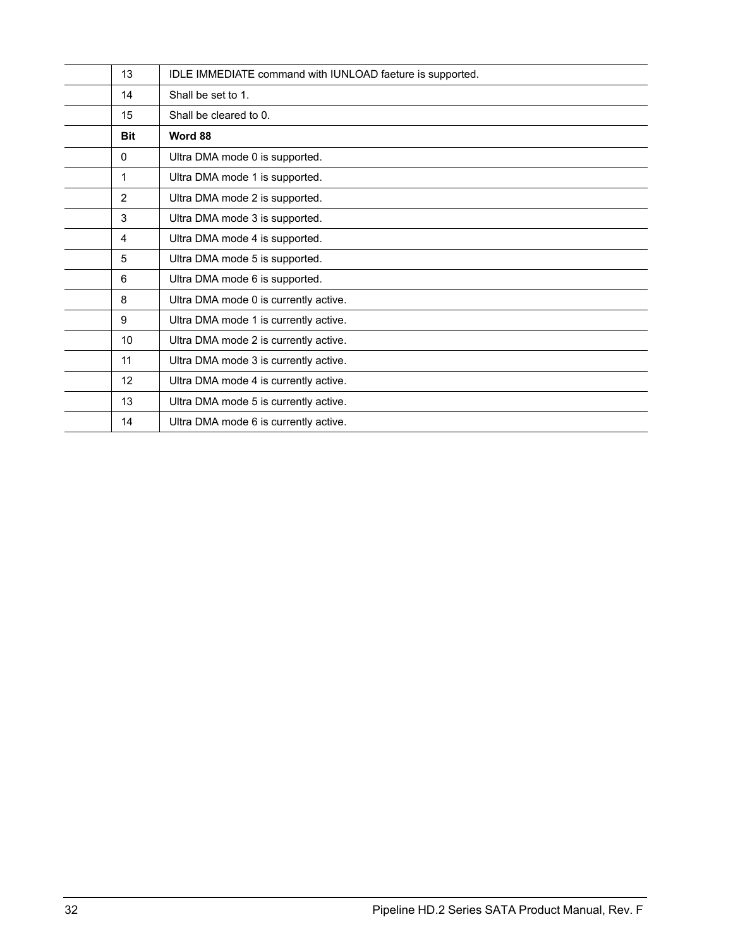| 13         | IDLE IMMEDIATE command with IUNLOAD faeture is supported. |
|------------|-----------------------------------------------------------|
| 14         | Shall be set to 1.                                        |
| 15         | Shall be cleared to 0.                                    |
| <b>Bit</b> | Word 88                                                   |
| 0          | Ultra DMA mode 0 is supported.                            |
| 1          | Ultra DMA mode 1 is supported.                            |
| 2          | Ultra DMA mode 2 is supported.                            |
| 3          | Ultra DMA mode 3 is supported.                            |
| 4          | Ultra DMA mode 4 is supported.                            |
| 5          | Ultra DMA mode 5 is supported.                            |
| 6          | Ultra DMA mode 6 is supported.                            |
| 8          | Ultra DMA mode 0 is currently active.                     |
| 9          | Ultra DMA mode 1 is currently active.                     |
| 10         | Ultra DMA mode 2 is currently active.                     |
| 11         | Ultra DMA mode 3 is currently active.                     |
| 12         | Ultra DMA mode 4 is currently active.                     |
| 13         | Ultra DMA mode 5 is currently active.                     |
| 14         | Ultra DMA mode 6 is currently active.                     |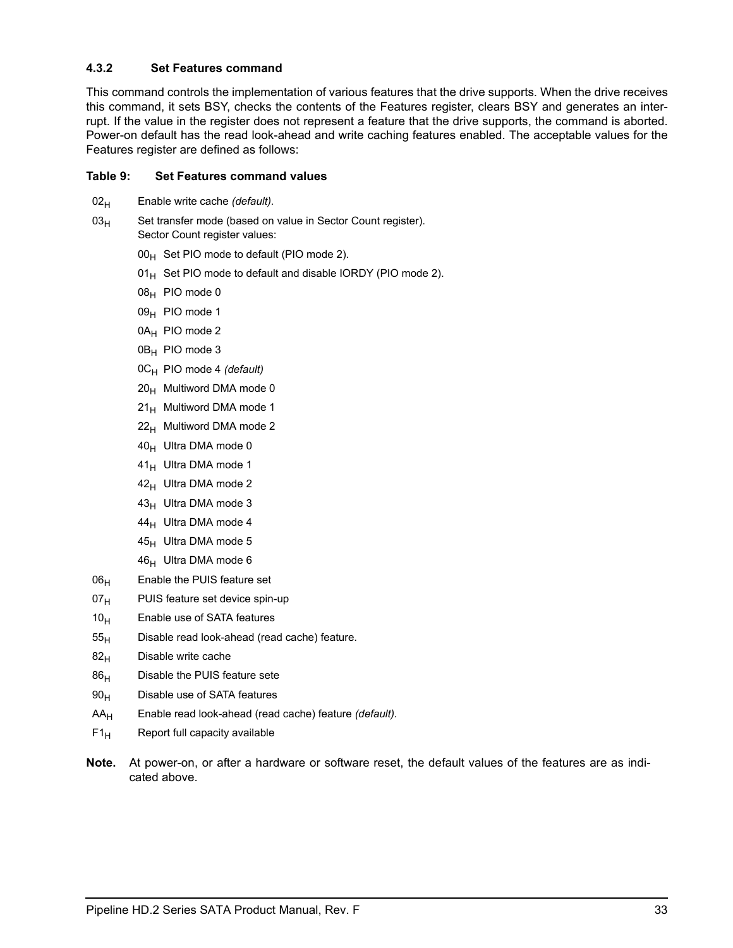### <span id="page-40-0"></span>**4.3.2 Set Features command**

This command controls the implementation of various features that the drive supports. When the drive receives this command, it sets BSY, checks the contents of the Features register, clears BSY and generates an interrupt. If the value in the register does not represent a feature that the drive supports, the command is aborted. Power-on default has the read look-ahead and write caching features enabled. The acceptable values for the Features register are defined as follows:

#### **Table 9: Set Features command values**

- 02<sub>H</sub> Enable write cache *(default)*.
- $03<sub>H</sub>$  Set transfer mode (based on value in Sector Count register). Sector Count register values:
	- $00_H$  Set PIO mode to default (PIO mode 2).
	- $01_H$  Set PIO mode to default and disable IORDY (PIO mode 2).
	- $08_H$  PIO mode 0
	- 09<sub>H</sub> PIO mode 1
	- 0A<sub>H</sub> PIO mode 2
	- $0B_H$  PIO mode 3
	- 0CH PIO mode 4 *(default)*
	- $20<sub>H</sub>$  Multiword DMA mode 0
	- $21_H$  Multiword DMA mode 1
	- $22<sub>H</sub>$  Multiword DMA mode 2
	- $40_H$  Ultra DMA mode 0
	- $41_H$  Ultra DMA mode 1
	- $42_H$  Ultra DMA mode 2
	- $43_H$  Ultra DMA mode 3
	- $44_H$  Ultra DMA mode 4
	- $45_H$  Ultra DMA mode 5
	- $46_H$  Ultra DMA mode 6
- $06_H$  Enable the PUIS feature set
- $07_H$  PUIS feature set device spin-up
- $10<sub>H</sub>$  Enable use of SATA features
- $55<sub>H</sub>$  Disable read look-ahead (read cache) feature.
- $82<sub>H</sub>$  Disable write cache
- $86<sub>H</sub>$  Disable the PUIS feature sete
- $90<sub>H</sub>$  Disable use of SATA features
- AAH Enable read look-ahead (read cache) feature *(default).*
- $F1_H$  Report full capacity available
- **Note.** At power-on, or after a hardware or software reset, the default values of the features are as indicated above.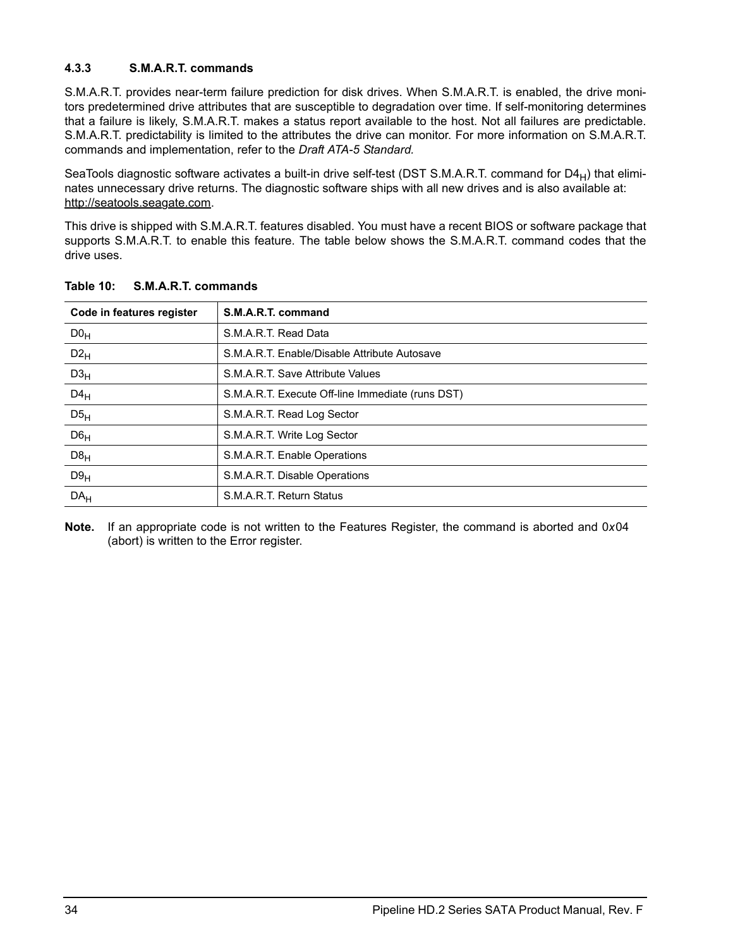## <span id="page-41-0"></span>**4.3.3 S.M.A.R.T. commands**

S.M.A.R.T. provides near-term failure prediction for disk drives. When S.M.A.R.T. is enabled, the drive monitors predetermined drive attributes that are susceptible to degradation over time. If self-monitoring determines that a failure is likely, S.M.A.R.T. makes a status report available to the host. Not all failures are predictable. S.M.A.R.T. predictability is limited to the attributes the drive can monitor. For more information on S.M.A.R.T. commands and implementation, refer to the *Draft ATA-5 Standard.*

SeaTools diagnostic software activates a built-in drive self-test (DST S.M.A.R.T. command for  $D4_H$ ) that eliminates unnecessary drive returns. The diagnostic software ships with all new drives and is also available at: http://seatools.seagate.com.

This drive is shipped with S.M.A.R.T. features disabled. You must have a recent BIOS or software package that supports S.M.A.R.T. to enable this feature. The table below shows the S.M.A.R.T. command codes that the drive uses.

| Code in features register | S.M.A.R.T. command                               |
|---------------------------|--------------------------------------------------|
| DO <sub>H</sub>           | S.M.A.R.T. Read Data                             |
| $D2_H$                    | S.M.A.R.T. Enable/Disable Attribute Autosave     |
| D3 <sub>H</sub>           | S.M.A.R.T. Save Attribute Values                 |
| $D4_H$                    | S.M.A.R.T. Execute Off-line Immediate (runs DST) |
| D5 <sub>H</sub>           | S.M.A.R.T. Read Log Sector                       |
| D6 <sub>H</sub>           | S.M.A.R.T. Write Log Sector                      |
| $D8_H$                    | S.M.A.R.T. Enable Operations                     |
| D9 <sub>H</sub>           | S.M.A.R.T. Disable Operations                    |
| DA <sub>H</sub>           | S.M.A.R.T. Return Status                         |

**Table 10: S.M.A.R.T. commands**

**Note.** If an appropriate code is not written to the Features Register, the command is aborted and 0*x*04 (abort) is written to the Error register.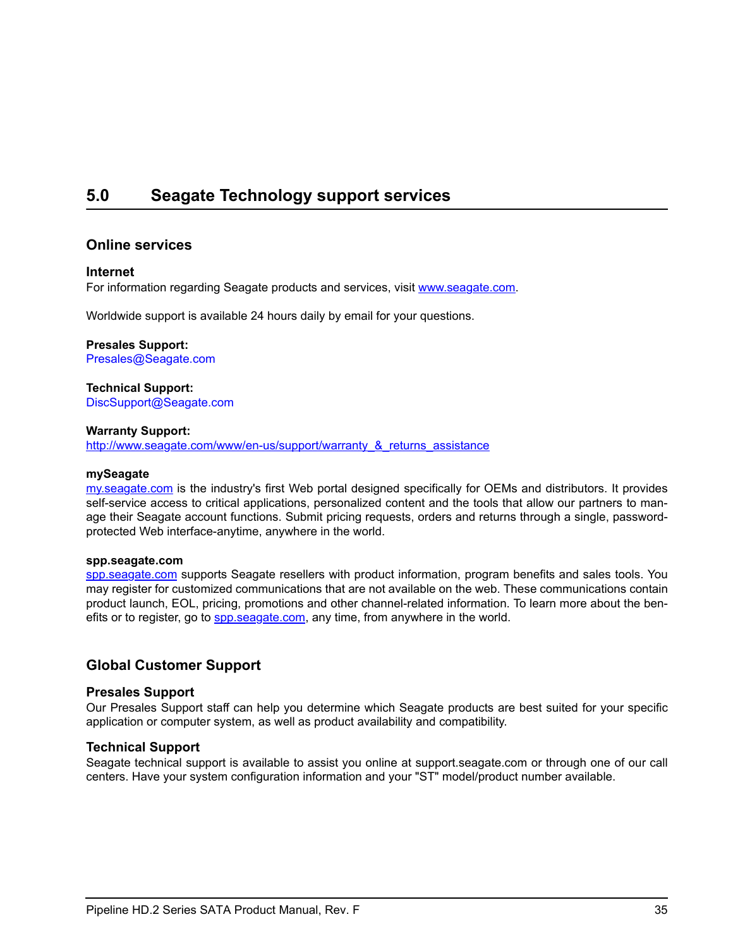## <span id="page-42-1"></span><span id="page-42-0"></span>**5.0 Seagate Technology support services**

### **Online services**

#### **Internet**

For information regarding Seagate products and services, visit [www.seag](http://www.seagate.com)ate.com.

Worldwide support is available 24 hours daily by email for your questions.

#### **Presales Support:**

Presales@Seagate.com

#### **Technical Support:**

DiscSupport@Seagate.com

#### **Warranty Support:**

[http://www.seag](http://www.seagate.com/www/en-us/support/warranty_&_returns_assistance)ate.com/www/en-us/support/warranty\_&\_returns\_assistance

#### **mySeagate**

[my.sea](http://www.seagate.com)gate.com is the industry's first Web portal designed specifically for OEMs and distributors. It provides self-service access to critical applications, personalized content and the tools that allow our partners to manage their Seagate account functions. Submit pricing requests, orders and returns through a single, passwordprotected Web interface-anytime, anywhere in the world.

#### **spp.seagate.com**

[spp.seag](http://spp.seagate.com)ate.com supports Seagate resellers with product information, program benefits and sales tools. You may register for customized communications that are not available on the web. These communications contain product launch, EOL, pricing, promotions and other channel-related information. To learn more about the benefits or to register, go to **spp.seagate.com**, any time, from anywhere in the world.

## **Global Customer Support**

#### **Presales Support**

Our Presales Support staff can help you determine which Seagate products are best suited for your specific application or computer system, as well as product availability and compatibility.

#### **Technical Support**

Seagate technical support is available to assist you online at support.seagate.com or through one of our call centers. Have your system configuration information and your "ST" model/product number available.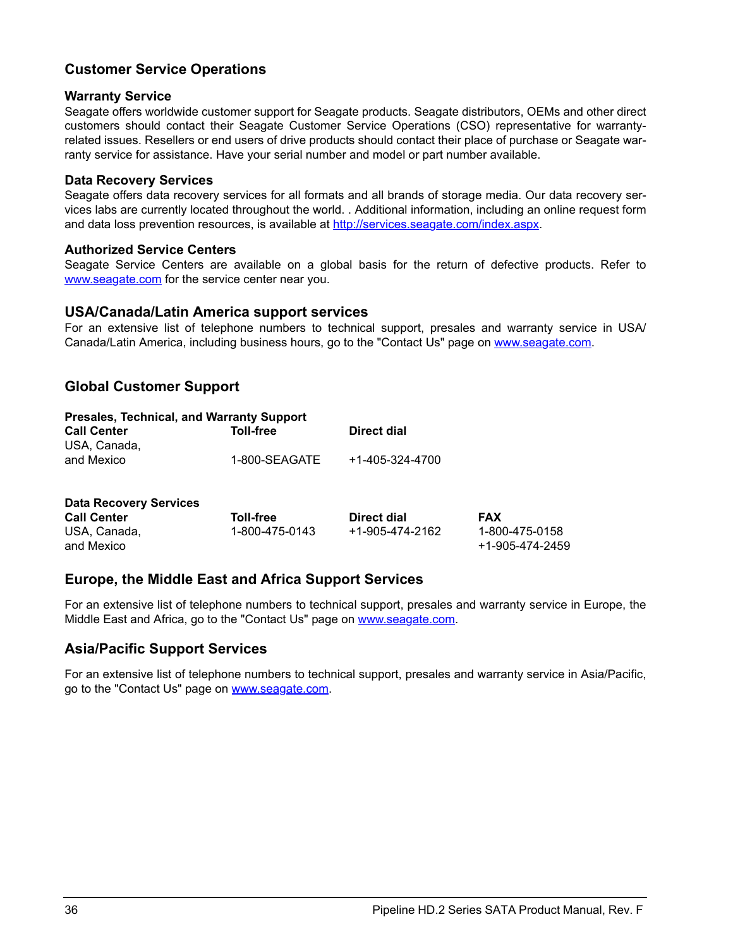## **Customer Service Operations**

## **Warranty Service**

Seagate offers worldwide customer support for Seagate products. Seagate distributors, OEMs and other direct customers should contact their Seagate Customer Service Operations (CSO) representative for warrantyrelated issues. Resellers or end users of drive products should contact their place of purchase or Seagate warranty service for assistance. Have your serial number and model or part number available.

### **Data Recovery Services**

Seagate offers data recovery services for all formats and all brands of storage media. Our data recovery services labs are currently located throughout the world. . Additional information, including an online request form and data loss prevention resources, is available at [http://services.seag](http://services.seagate.com/index.aspx)ate.com/index.aspx.

### **Authorized Service Centers**

Seagate Service Centers are available on a global basis for the return of defective products. Refer to [www.seag](http://www.seagate.com)ate.com for the service center near you.

## **USA/Canada/Latin America support services**

For an extensive list of telephone numbers to technical support, presales and warranty service in USA/ Canada/Latin America, including business hours, go to the "Contact Us" page on [www.sea](http://www.seagate.com)gate.com.

## **Global Customer Support**

| <b>Presales, Technical, and Warranty Support</b> |               |                 |  |
|--------------------------------------------------|---------------|-----------------|--|
| <b>Call Center</b>                               | Toll-free     | Direct dial     |  |
| USA, Canada,                                     |               |                 |  |
| and Mexico                                       | 1-800-SEAGATE | +1-405-324-4700 |  |
|                                                  |               |                 |  |
|                                                  |               |                 |  |

| <b>Data Recovery Services</b> |                |                 |                                   |
|-------------------------------|----------------|-----------------|-----------------------------------|
| <b>Call Center</b>            | Toll-free      | Direct dial     | <b>FAX</b>                        |
| USA, Canada,<br>and Mexico    | 1-800-475-0143 | +1-905-474-2162 | 1-800-475-0158<br>+1-905-474-2459 |

## **Europe, the Middle East and Africa Support Services**

For an extensive list of telephone numbers to technical support, presales and warranty service in Europe, the Middle East and Africa, go to the "Contact Us" page on [www.sea](http://www.seagate.com)gate.com.

## **Asia/Pacific Support Services**

For an extensive list of telephone numbers to technical support, presales and warranty service in Asia/Pacific, go to the "Contact Us" page on [www.seag](http://www.seagate.com)ate.com.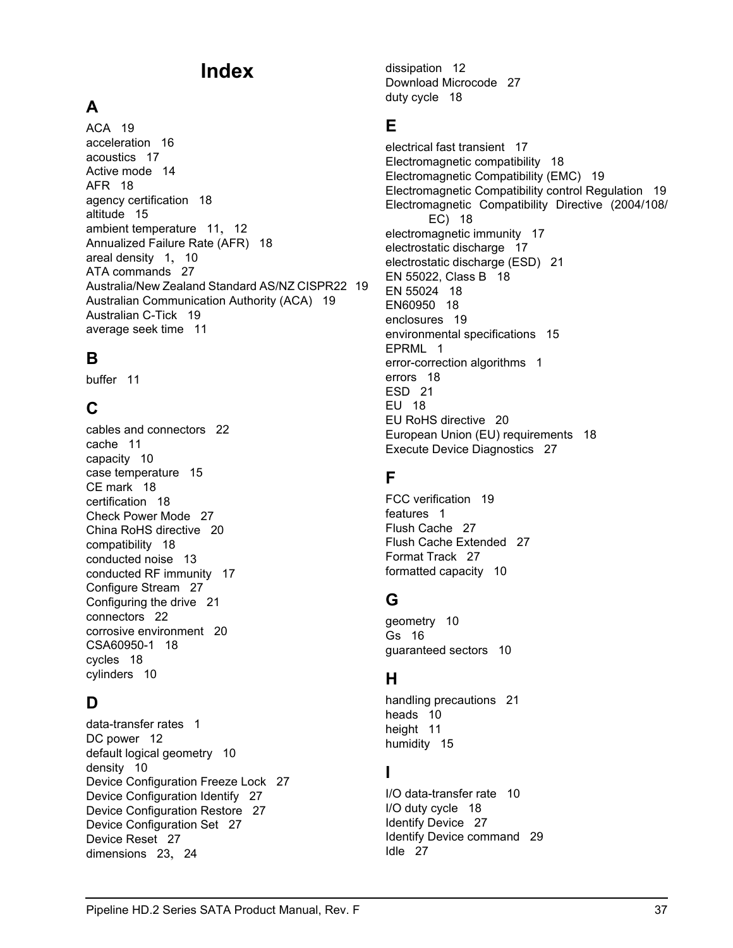## **Index**

## **A**

ACA [19](#page-26-1) acceleration [16](#page-23-2) acoustics [17](#page-24-2) Active mode [14](#page-21-1) AFR [18](#page-25-5) agency certification [18](#page-25-6) altitude [15](#page-22-5) ambient temperature [11](#page-18-3), [12](#page-19-2) Annualized Failure Rate (AFR) [18](#page-25-7) areal density [1](#page-8-1), [10](#page-17-4) ATA commands [27](#page-34-1) Australia/New Zealand Standard AS/NZ CISPR22 [19](#page-26-2) Australian Communication Authority (ACA) [19](#page-26-3) Australian C-Tick [19](#page-26-4) average seek time [11](#page-18-4)

## **B**

buffer [11](#page-18-5)

## **C**

cables and connectors [22](#page-29-3) cache [11](#page-18-6) capacity [10](#page-17-5) case temperature [15](#page-22-6) CE mark [18](#page-25-8) certification [18](#page-25-9) Check Power Mode [27](#page-34-2) China RoHS directive [20](#page-27-4) compatibility [18](#page-25-10) conducted noise [13](#page-20-3) conducted RF immunity [17](#page-24-3) Configure Stream [27](#page-34-3) Configuring the drive [21](#page-28-2) connectors [22](#page-29-4) corrosive environment [20](#page-27-5) CSA60950-1 [18](#page-25-11) cycles [18](#page-25-12) cylinders [10](#page-17-6)

## **D**

data-transfer rates [1](#page-8-2) DC power [12](#page-19-3) default logical geometry [10](#page-17-7) density [10](#page-17-8) Device Configuration Freeze Lock [27](#page-34-4) Device Configuration Identify [27](#page-34-5) Device Configuration Restore [27](#page-34-6) Device Configuration Set [27](#page-34-7) Device Reset [27](#page-34-8) dimensions [23](#page-30-2), [24](#page-31-1)

dissipation [12](#page-19-4) Download Microcode [27](#page-34-9) duty cycle [18](#page-25-13)

## **E**

electrical fast transient [17](#page-24-4) Electromagnetic compatibility [18](#page-25-14) Electromagnetic Compatibility (EMC) [19](#page-26-5) Electromagnetic Compatibility control Regulation [19](#page-26-6) Electromagnetic Compatibility Directive (2004/108/ EC) [18](#page-25-15) electromagnetic immunity [17](#page-24-5) electrostatic discharge [17](#page-24-6) electrostatic discharge (ESD) [21](#page-28-3) EN 55022, Class B [18](#page-25-16) EN 55024 [18](#page-25-17) EN60950 [18](#page-25-18) enclosures [19](#page-26-7) environmental specifications [15](#page-22-7) EPRML [1](#page-8-3) error-correction algorithms [1](#page-8-4) errors [18](#page-25-19) ESD [21](#page-28-4) EU [18](#page-25-20) EU RoHS directive [20](#page-27-6) European Union (EU) requirements [18](#page-25-21) Execute Device Diagnostics [27](#page-34-10)

## **F**

FCC verification [19](#page-26-8) features [1](#page-8-5) Flush Cache [27](#page-34-11) Flush Cache Extended [27](#page-34-12) Format Track [27](#page-34-13) formatted capacity [10](#page-17-9)

## **G**

geometry [10](#page-17-10) Gs [16](#page-23-3) guaranteed sectors [10](#page-17-11)

## **H**

handling precautions [21](#page-28-5) heads [10](#page-17-12) height [11](#page-18-7) humidity [15](#page-22-8)

## **I**

I/O data-transfer rate [10](#page-17-13) I/O duty cycle [18](#page-25-22) Identify Device [27](#page-34-14) Identify Device command [29](#page-36-1) Idle [27](#page-34-15)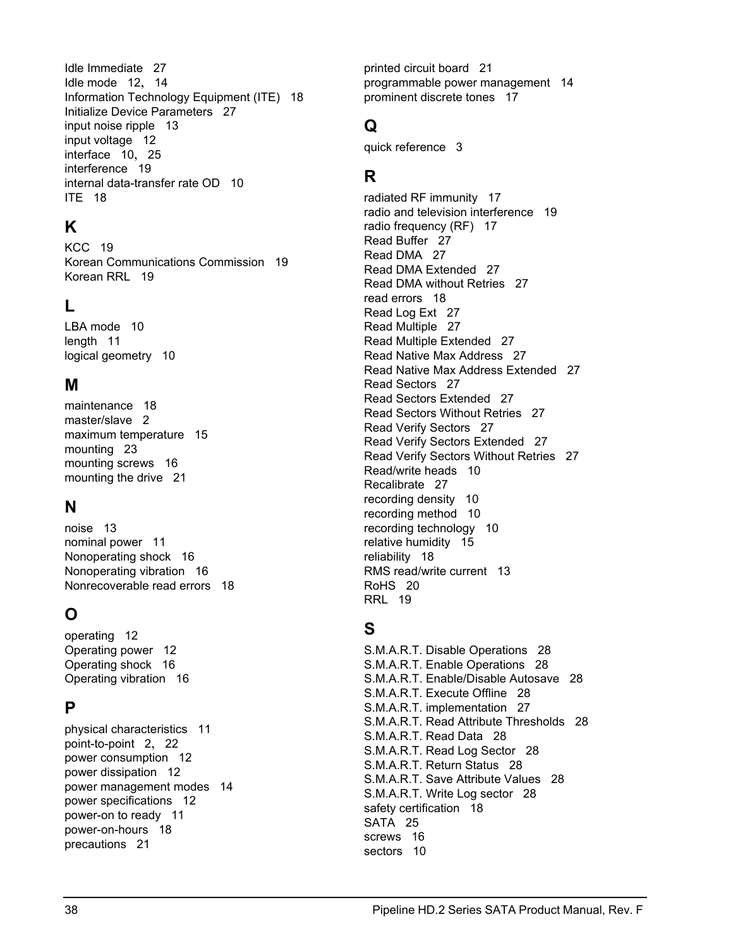Idle Immediate [27](#page-34-16) Idle mode [12](#page-19-5), [14](#page-21-2) Information Technology Equipment (ITE) [18](#page-25-23) Initialize Device Parameters [27](#page-34-17) input noise ripple [13](#page-20-4) input voltage [12](#page-19-6) interface [10](#page-17-14), [25](#page-32-2) interference [19](#page-26-9) internal data-transfer rate OD [10](#page-17-15) ITE [18](#page-25-24)

## **K**

KCC [19](#page-26-10) Korean Communications Commission [19](#page-26-11) Korean RRL [19](#page-26-12)

## **L**

LBA mode [10](#page-17-16) length [11](#page-18-8) logical geometry [10](#page-17-17)

## **M**

maintenance [18](#page-25-25) master/slave [2](#page-9-1) maximum temperature [15](#page-22-9) mounting [23](#page-30-3) mounting screws [16](#page-23-4) mounting the drive [21](#page-28-6)

## **N**

noise [13](#page-20-5) nominal power [11](#page-18-9) Nonoperating shock [16](#page-23-5) Nonoperating vibration [16](#page-23-6) Nonrecoverable read errors [18](#page-25-26)

## **O**

operating [12](#page-19-7) Operating power [12](#page-19-8) Operating shock [16](#page-23-7) Operating vibration [16](#page-23-8)

## **P**

physical characteristics [11](#page-18-10) point-to-point [2](#page-9-2), [22](#page-29-5) power consumption [12](#page-19-9) power dissipation [12](#page-19-10) power management modes [14](#page-21-3) power specifications [12](#page-19-11) power-on to ready [11](#page-18-11) power-on-hours [18](#page-25-27) precautions [21](#page-28-7)

printed circuit board [21](#page-28-8) programmable power management [14](#page-21-4) prominent discrete tones [17](#page-24-7)

## **Q**

quick reference [3](#page-10-2)

## **R**

radiated RF immunity [17](#page-24-8) radio and television interference [19](#page-26-13) radio frequency (RF) [17](#page-24-9) Read Buffer [27](#page-34-18) Read DMA [27](#page-34-19) Read DMA Extended [27](#page-34-20) Read DMA without Retries [27](#page-34-21) read errors [18](#page-25-28) Read Log Ext [27](#page-34-22) Read Multiple [27](#page-34-23) Read Multiple Extended [27](#page-34-24) Read Native Max Address [27](#page-34-25) Read Native Max Address Extended [27](#page-34-26) Read Sectors [27](#page-34-27) Read Sectors Extended [27](#page-34-28) Read Sectors Without Retries [27](#page-34-29) Read Verify Sectors [27](#page-34-30) Read Verify Sectors Extended [27](#page-34-31) Read Verify Sectors Without Retries [27](#page-34-32) Read/write heads [10](#page-17-18) Recalibrate [27](#page-34-33) recording density [10](#page-17-19) recording method [10](#page-17-20) recording technology [10](#page-17-21) relative humidity [15](#page-22-10) reliability [18](#page-25-29) RMS read/write current [13](#page-20-6) RoHS [20](#page-27-7) RRL [19](#page-26-14)

## **S**

S.M.A.R.T. Disable Operations [28](#page-35-0) S.M.A.R.T. Enable Operations [28](#page-35-1) S.M.A.R.T. Enable/Disable Autosave [28](#page-35-2) S.M.A.R.T. Execute Offline [28](#page-35-3) S.M.A.R.T. implementation [27](#page-34-34) S.M.A.R.T. Read Attribute Thresholds [28](#page-35-4) S.M.A.R.T. Read Data [28](#page-35-5) S.M.A.R.T. Read Log Sector [28](#page-35-6) S.M.A.R.T. Return Status [28](#page-35-7) S.M.A.R.T. Save Attribute Values [28](#page-35-8) S.M.A.R.T. Write Log sector [28](#page-35-9) safety certification [18](#page-25-30) SATA [25](#page-32-3) screws [16](#page-23-9) sectors [10](#page-17-22)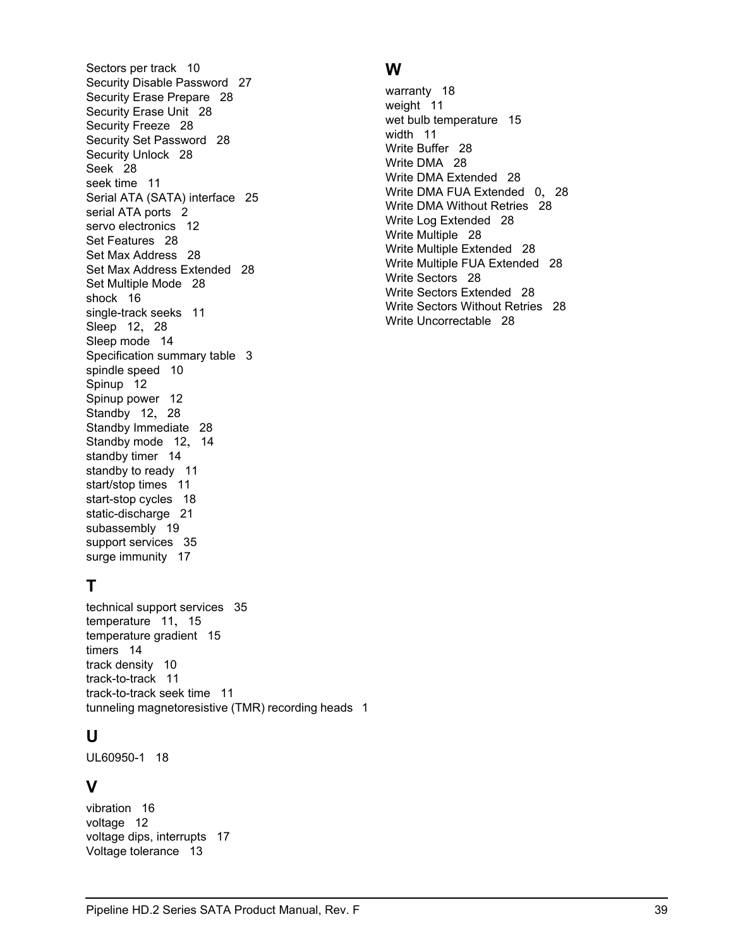Sectors per track [10](#page-17-23) Security Disable Password [27](#page-34-35) Security Erase Prepare [28](#page-35-10) Security Erase Unit [28](#page-35-11) Security Freeze [28](#page-35-12) Security Set Password [28](#page-35-13) Security Unlock [28](#page-35-14) Seek [28](#page-35-15) seek time [11](#page-18-12) Serial ATA (SATA) interface [25](#page-32-4) serial ATA ports [2](#page-9-3) servo electronics [12](#page-19-12) Set Features [28](#page-35-16) Set Max Address [28](#page-35-17) Set Max Address Extended [28](#page-35-18) Set Multiple Mode [28](#page-35-19) shock [16](#page-23-10) single-track seeks [11](#page-18-13) Sleep [12](#page-19-13), [28](#page-35-20) Sleep mode [14](#page-21-5) Specification summary table [3](#page-10-3) spindle speed [10](#page-17-24) Spinup [12](#page-19-14) Spinup power [12](#page-19-15) Standby [12](#page-19-16), [28](#page-35-21) Standby Immediate [28](#page-35-22) Standby mode [12](#page-19-17), [14](#page-21-6) standby timer [14](#page-21-7) standby to ready [11](#page-18-14) start/stop times [11](#page-18-15) start-stop cycles [18](#page-25-31) static-discharge [21](#page-28-9) subassembly [19](#page-26-15) support services [35](#page-42-1) surge immunity [17](#page-24-10)

## **T**

technical support services [35](#page-42-1) temperature [11](#page-18-16), [15](#page-22-11) temperature gradient [15](#page-22-12) timers [14](#page-21-8) track density [10](#page-17-25) track-to-track [11](#page-18-17) track-to-track seek time [11](#page-18-18) tunneling magnetoresistive (TMR) recording heads [1](#page-8-6)

## **U**

UL60950-1 [18](#page-25-32)

## **V**

vibration [16](#page-23-11) voltage [12](#page-19-18) voltage dips, interrupts [17](#page-24-11) Voltage tolerance [13](#page-20-7)

## **W**

warranty [18](#page-25-33) weight [11](#page-18-19) wet bulb temperature [15](#page-22-13) width [11](#page-18-20) Write Buffer [28](#page-35-23) Write DMA [28](#page-35-24) Write DMA Extended [28](#page-35-25) Write DMA FUA Extended [0](#page-1-0), [28](#page-35-26) Write DMA Without Retries [28](#page-35-27) Write Log Extended [28](#page-35-28) Write Multiple [28](#page-35-29) Write Multiple Extended [28](#page-35-30) Write Multiple FUA Extended [28](#page-35-31) Write Sectors [28](#page-35-32) Write Sectors Extended [28](#page-35-33) Write Sectors Without Retries [28](#page-35-34) Write Uncorrectable [28](#page-35-35)